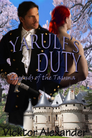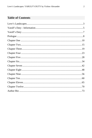# **Table of Contents**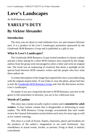# <span id="page-2-0"></span>**Love's Landscapes**

*An M/M Romance series*

# **YARULF'S DUTY**

# **By Vicktor Alexander**

# **Introduction**

The story you are about to read celebrates love, sex and romance between men. It is a product of the *Love's Landscapes* promotion sponsored by the *Goodreads M/M Romance Group* and is published as a gift to you.

# **What Is Love's Landscapes?**

The *Goodreads M/M Romance Group* invited members to choose a photo and pen a letter asking for a short M/M romance story inspired by the image; authors from the group were encouraged to select a letter and write an original tale. The result was an outpouring of creativity that shone a spotlight on the special bond between M/M romance writers and the people who love what these authors do.

A written description of the image that inspired this story is provided along with the original request letter. If you'd like to view the photo, please feel free to join the [Goodreads M/M Romance Group](http://www.goodreads.com/group/show/20149-m-m-romance) and visit the discussion section: *Love's Landscapes*.

No matter if you are a long-time devotee to M/M Romance, just new to the genre or fall somewhere in between, you are in for a delicious treat.

### **Words of Caution**

This story may contain sexually explicit content and is **intended for adult readers.** It may contain content that is disagreeable or distressing to some readers. The *M/M Romance Group* strongly recommends that each reader review the General Information section before each story for story tags as well as for content warnings.

This story is a work of fiction. Names, characters, places and incidents are the products of the author's imagination or are used fictitiously. Any resemblance to actual events, locales, or persons, living or dead, is entirely coincidental.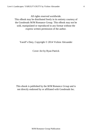All rights reserved worldwide.

This eBook may be distributed freely in its entirety courtesy of the Goodreads M/M Romance Group. This eBook may not be sold, manipulated or reproduced in any format without the express written permission of the author.

Yarulf's Duty, Copyright © 2014 Vicktor Alexander

Cover Art by Ryan Patrick

This ebook is published by the *M/M Romance Group* and is not directly endorsed by or affiliated with Goodreads Inc.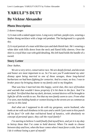# <span id="page-4-0"></span>**YARULF'S DUTY**

# **By Vicktor Alexander**

# **Photo Description**

#### 2 drawn images

1) A man with a naked upper torso. Long wavy red hair, purple eyes, wearing a leather thong necklace with a large red pendant. The background is a grayish sky.

2) A royal portrait of a man with blue eyes and dark bluish hair. He's wearing a white shirt with frills down from the neck and flared frilly sleeves. Over the shirt is a royal blue coat with gold detailing. His left hand holds the handle of a sword.

## **Story Letter**

#### *Dear Author,*

*We are a very strict, conservative race. We are deeply formal, and decorum and honor are most important to us. So I'm sure you'll understand my utter dismay upon being married to one of those savages, those long-haired barbarians we had been fighting for centuries. And to a man, no less. I was to broker peace by bringing shame to my family and to my kingdom.*

*That was how I married into this happy, weird clan, this race of freedom and warmth that wouldn't know propriety if it hit them in the face. And I'm terrified. Terrified that that my dark, deviant, twisted desires will be brought to light for all the worlds to see. Not that my new family seem to care. From what I've seen, men holding hands or women kissing in the streets are as common as sunrise in this land.*

*And what am I supposed to do with my gorgeous, warm husband, who looks at me with such kindness in his eyes and a smirk I just want to kiss punch off his face? Or with that red-haired band of lunatics, with absolutely no concept of personal space, they call the royal family?*

*I'm starting to believe I could finally find myself here, and yet it is my duty to betray those that I've come to hold dearest. When I'm made to choose between duty and love, when the hour comes when I must favor a side, how will I do it without losing a part of myself?*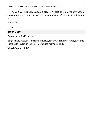*Note: Please no D/s, BDSM, ménage or cheating. I'd absolutely love a sweet, funny story, more focused on quiet intimacy rather than scorching hot sex.*

*Sincerely,*

*Filipa*

# **Story Info**

**Genre:** historical/fantasy

**Tags:** magic, violence, alternate universe, royalty, warriors/soldiers, first time, enemies to lovers, in the closet, arranged marriage, HFN

**Word Count:** 24,440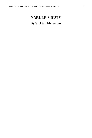# <span id="page-6-0"></span>**YARULF'S DUTY By Vicktor Alexander**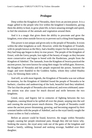# **Prologue**

<span id="page-7-0"></span>Deep within the Kingdom of Nerandra, there lives an ancient power. It is a magic gifted to the people who live within the kingdom's boundaries, giving them the ability to heal, to grow plant life, to have amazing strength and speed, to feel the emotions of the animals and vegetation around them.

And it is a magic that gives them the ability to procreate and grow the kingdom, even when outside forces try to prevent such a thing from happening.

This power is not unique and given only to the people of Nerandra. It exists within the other kingdoms as well. However, while the Kingdom of Troalath, with its people known as the Hery, had a healthy respect for the ancient power, they had long ago begun to deny its true power. The people of the Kingdom of Ereari, with the Gerey people, lost sight of the beauty of magic as they became more conservative and began to breed with the Rarderians, people from the Kingdom of Adethiel. The Jamunds, from the Kingdom of Jeravia practiced the ancient power, but were known for using their magic for selfish gain. However, the Kingdom of Nerandra and her people respected the power, honored the magic and were thankful to the Goddess Sadita, whom they called Shadita Lyra, for blessing them with it.

And still, as with most legends, the Kingdom of Nerandra was not without its enemies, for the Kingdom of Adethiel found the people of Nerandra to be barbaric, classless and undeserving of the lush, beautiful land they inhabited. The fact that the people of Nerandra also embraced, and even celebrated, samesex unions was also cause for much discord and strife between the two kingdoms.

Greed, envy, and bigotry led to centuries of fighting between the two kingdoms, causing blood to be spilled all over the planet, seeping into the soil and causing the ancient power much distress. The people of Nerandra could sense the ancient power thrumming, growing, and becoming angered by their constant battles with the people of Adethiel, and so the royal family sought the wisest scribes to find a solution.

Before an answer could be found, however, the magic within Nerandra surged, causing her people emotional pain, though they did not know why. Seeking the source, the royal army rode out of the gates of the kingdom and found a family, sobbing, bruised and seeking revenge, huddled over their daughter.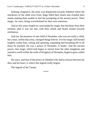Seeking vengeance, the army was dispatched towards Adethiel where the murderers of the child were from. Rage filled their hearts and clouded their minds making them unable to feel the prompting of the ancient power. Their magic, for once, being overwhelmed by their own emotions.

And so this army forged on, surrounded by magic that hid them from their enemies until it was too late, with their minds and hearts turned towards retribution.

And yet, the presence of one child of Nerandra, who was not really a child, but a man, within that army, changed things forever. For his magic still burned brightly within him, coiling and spinning, expanding and breathing life to all those he touched. He was a prince of Nerandra. A healer. And the ancient power, that magic which had begun to retreat from the other kingdoms and started to swell within the walls of Kingdom of Nerandra, began to grow within him.

His story, and that of the prince of Adethiel who had to choose between his duty and his heart, is where this legend really begins.

The legend of the Tauma.

\*\*\*\*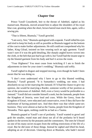## **Chapter One**

<span id="page-9-0"></span>Prince Yarulf Cossoberth, heir to the throne of Adethiel, sighed as his manservant, Biumula, moved around him to adjust the shoulders of his royal blue coat, grunting when the short, brown haired man stuck him, again, with a sewing pin.

"That is fifteen, Biumula," Yarulf growled.

"I am sorry, Sire," Biumula apologized with a squeak. Yarulf rolled his eyes and tried to keep his body as still as possible as Biumula tugged on the bottom of the coat to make further adjustments. He still could not comprehend why his father, King Gilrad, insisted on him wearing such an ugly garment. Yarulf wasn't sure if it was the gold detailing, like sharply angled leaves woven into the cloth, or the belt that just *had* to go with it, but Yarulf had the insane urge to rip the blasted garment from his body and hurl it across the room.

"Your Highness? You must cease from twitching if I am to finish the adjustments in time for your sister's wedding," Biumula said softly.

Yarulf sighed in disgust and stopped moving, even though he hadn't been aware that he was doing so.

"I don't even understand why I have to go to this blasted wedding, Biumula," Yarulf groused. "It is Sumardea's wedding, not mine. I had absolutely no say in her marrying the Jamund. If I'd had the chance to give my opinion, she would be marrying a Rarder, someone worthy of her position as one of the princesses of Adethiel. Hell, even a Gerey would be preferable to a Jamund." Yarulf did not consider himself a snob, but the Jamunds, people from the Kingdom of Jeravia, were loud and crass. While the Gerey, from the Kingdom of Ereari, were educated and conservative, even if they did have the misfortune of having pointed ears. And then there was that whole same-sex business. They were almost as bad as the Tauma, people from the Kingdom of Nerandra. Then again, nothing could be as bad as a Tauma.

Biumula gasped at Yarulf's use of profanity. Yarulf wanted to growl and grab the smaller, round man and shout out all of the profanity he'd heard spoken in the taverns by the peasants and the commoners. The ones he'd heard on one of his many secret escapes from the stifling restrictions of the life of a royal. But he did none of those things. Instead he sighed and lifted his head, adopting an air of decorum. Glancing down at Biumula, who hadn't moved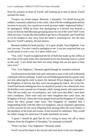from his position in front of Yarulf, still looking up at him in shock, Yarulf inclined his head.

"Forgive my errant tongue, Biumula. I misspoke. I'm afraid having the soldiers constantly underfoot in the castle, what with the wedding plans and the increase to security, has caused me to pick up some rather, unpleasant habits," he apologized. While he knew that apologizing to a servant was beneath a royal, he did not need Biumula gossiping about his use of the word "*hell*" to the other servants. Gossip like that tended to get back to his parents, and Yarulf had to try his hardest to stay away from his father's assessing eye, lest the man discover Yarulf's darkest, deviant desires.

Biumula nodded his head quickly. "It is quite alright, Your Highness. I am just a servant. You don't need to apologize to me. I was just surprised that you would speak in such a way. It is quite unlike you."

"Yes, well," Yarulf straightened the bit of fluff that made up the ruffles at the collar of his stark white shirt and stared across his dressing room to a point on the wall. "I am afraid that there are many things that are not quite as they once were."

"Yes, Your Highness," Biumula agreed though he sounded confused.

Yarulf tuned out the little man and continued to stare at the wall as Biumula continued with his tailoring. Yarulf was still flabbergasted that his parents were not only allowing his sister to marry the Jamund, Prince Dugezuu Caehigh of the Kingdom of Jeravia, but they were encouraging the match. All of his life, Yarulf had heard nothing but how he should be proud to be a Rarderian, how the Rarders were a proud race of people, noble, strong, moral, and conservative. They did *not* under any circumstances, mix with races that didn't meet their strict conditions. There were only two other kingdoms that came close, the Kingdom of Ereari, where the Gerey people lived and the Kingdom of Troalath, where the Hery people came from. The Kingdom of Adethiel had a longstanding treaty with the other two kingdoms, and an unspoken agreement to find consorts for the royal offspring from among either the royal family or the members of the lords and counts. It had worked for millennia. Why would his father change his mind now? It made absolutely no sense.

"I guess I should be glad that he isn't trying to marry her off to those Taumas from the Kingdom of Nerandra," he muttered to himself.

"What was that, Your Highness?" Biumula asked.

Yarulf waved his hand at the servant and went back to his own thoughts.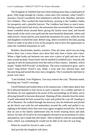The Kingdom of Adethiel had once been nothing more than a small patch of grass. Only large enough for a home, a barn and a few animals, when Yarulf's ancestor, Orazil Cossoberth, first inhabited it with his wife, Marikke, and their five children. They worked the land tirelessly, praying to the Goddess Sadita for prosperity and a plentiful harvest. The Goddess had done so much more. During a particularly bad storm, the mountains that surrounded the Cossoberth home crumbled down around them, giving the family more land, and buried deep inside of the rocks were gold and the most beautiful diamonds, rubies and other jewels. Orazil and his sons mined the mountains for years, while his wife and daughters worked the land. Before long, others traveled to the land, paying Orazil in order to be able to live on his property and to have the opportunity to mine the crumbled mountains as well.

Builders, blacksmiths, healers, teachers. They all came, and it was not long before there was a town where once there had only been a home and a barn. When a fight broke out between two men over a piece of gold and one of the men wound up dead, Orazil knew that he needed to establish laws. Soon he and a group of men he hand-picked were the rulers of this country. Adethiel, which meant "*Sadita Will Provide*" in Rarderian. The town continued to grow, and it wasn't long before Orazil's son, Zhall, a wise and very shrewd man, had become king and turned the town into a kingdom. The Cossoberths had been in power ever since.

"I am finished, Your Highness. You may remove the coat," Biumula stated, breaking into Yarulf's musings.

Yarulf blinked and looked down at his manservant, a little taken aback that he'd allowed himself to lose focus in such a manner. As a soldier and heir to the throne, he was supposed to be aware of his surroundings at all times, never allowing himself to become distracted. Shaking off the cobwebs from his mind, Yarulf unbuckled the belt around his waist and pulled the coat off, handing it off to Biumula. He walked through the doorway into his bedroom and picked up the black coat with the red embroidery around the cuffs and pulled it on, sighing at the bland colors that were once again wrapped around him. He knew that no one in his family understood why he loved wearing black and dark brown, for they all loved to be extravagantly dressed in an assortment of colors and patterns, but it made him feel better. Able to blend in with his surroundings more, which was something he would not be able to do once he was king.

When he would be forced to take a wife.

And provide the kingdom with heirs.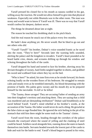Yarulf pressed his closed fist to his mouth as nausea curdled in his gut, willing away the reaction. He would not allow himself to give into that physical weakness. Especially not while Biumula was in the other room. The man was nosey and would want to know if Yarulf was ill. There was no way that Yarulf would confess his deepest, darkest secret.

The things he dreamed about late at night.

The reason he touched his throbbing shaft in the pitch black.

And the real reason he snuck out of the palace every few months.

He hadn't done anything yet. He never would. But he liked to go out and see others who *did*.

"Yarulf! Yarulf!" his brother, Dubair's voice sounded frantic as he raced into the room. "They're here!" Seconds later the warning bells sounded, alerting the palace and the kingdom to invaders. Yarulf's heart pounded as he heard battle cries, shouts, and screams drifting up through his window and echoing throughout the halls of the castle.

Yarulf dropped his hand and turned to face his brother, shoving away his deviant thoughts of sweaty, hard limbs tangled together in sheets, and grabbed his sword and scabbard from where they lay on the bed.

"Who is here?" he asked, his tone firm even as he strode forward, his boots echoing loudly on the wooden floors of his bedroom. He struggled to remain calm and steady even as he trembled internally, his blood thrumming with the promise of battle. His palms grew sweaty and his mouth dry as he prepared himself for the inevitable: *To kill or be killed*.

"The Tauma, those savages! They are accusing Father of sending an army into their kingdom's territory and attacking them. They are saying that a child was murdered and are demanding retribution!" Dubair said breathlessly as he raced behind Yarulf. Yarulf's mind rebelled at his brother's words, at the accusation of the Tauma. His father would never do such a thing. He growled at the false claim as rage flooded him. He ignored the sick feeling in the pit of his stomach that told him there might be some truth to the Taumas' claims.

Yarulf raced from the room, heading through the corridors of the palace towards the courtyard where the sound of yelling and the clanking of steel could be heard. Soldiers raced alongside him, running down the stairs to launch themselves into battle. Servants headed towards the lowest part of the castle to hide and wait for the battle to end. Yarulf's blood began to pound in his veins,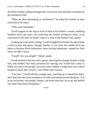the thrill of battle rushing through him, even as his soul and heart mourned for the murdered child.

"What are they demanding in retribution?" he asked his brother as they raced down the stairs.

"They want Sumardea."

Yarulf slipped on the step in front of him at his brother's words, tumbling headfirst down the stairs. He could hear his brother yelling his name, as he continued to fall until he finally came to a stop at the bottom with a grunt.

Looking up at the stone ceiling, Yarulf struggled for breath, his entire body a knot of pain and agony, though whether it was from the tumble he'd just taken or because those barbarians, those *fucking* barbarians, wanted his little sister, he didn't know.

"Yarulf! Are you alright?" Dubair asked.

Yarulf pushed to his feet with a groan, allowing his younger brother to help him, and nodded. His body protested his moving, but Yarulf had a duty to fulfill, not only to his people, but to his sister. Dubair's bright blue eyes, which looked so much like Yarulf's, were filled with concern.

"I am fine," Yarulf told the younger man, reaching up to smooth his thick, dark-blue hair into some semblance of order and turned towards the doors. "Let us go and protect our people, Dubair, and more than that, let us go and defend our sister from those barbarians."

\*\*\*\*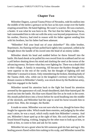### **Chapter Two**

<span id="page-14-0"></span>Milenther Dagorn, a proud Tauma Prince of Nerandra, rode his stallion into the middle of the melee a grimace on his face as his eyes swept over the battle erupting around him. He hated fighting. He wasn't a warrior. He was a nurturer, a healer. It was what he was born to do. The fact that his father, King Fiacus, had commanded him to ride out with the army was beyond preposterous. Even his mother, Dravica, had tried to reason with his father against sending him with his brothers, but his father had been adamant.

"Milenther! Pull your head out of your *dulanthar*!" His older brother, Reprimuric, his flaming red hair pulled back tightly into a ponytail, yelled as he brought down the handle of his sword onto the head of an enemy solder.

Milenther shook his head and nodded before he threw himself into the battle. His hand shook as he pulled his own sword from its scabbard and let out a yell before shutting down his mind and slashing the steel at the torsos of the advancing enemy. He knew what they were fighting for. There was a dead child in their village. A family in mourning. All because the Rarders thought they were superior to the rest of the world, but the thought of fighting still tied Milenther's stomach in knots. Only remembering the broken, bleeding body of the Tauma child, who, while out in the kingdom's territory with her family, distant cousins to Milenther's family, was struck down by the Rarderian army, kept him engaged in the battle.

Milenther turned his attention back to the fight but found his attention arrested by the appearance of a tall, broad-shouldered, dark-blue-haired *god*. He raced out into the battle. His blue eyes blazed like fire as he took in the scene. His mouth pulled down into a frown before he raced headlong into the middle of the skirmish, and Milenther had the urge to send his horse towards him to protect him. Him, the stranger, the Rarder.

It made no sense. Milenther was not sure who he was, though he knew they fought for opposite sides. Which made them enemies, and judging by the other man's attire, he was a royal, which really made him Milenther's enemy. And yet, Milenther's heart sped up at the sight of him. His cock hardened, and he found himself hoping, wishing, longing for the other man to look up at him, to smile at him, to come to him and ask for his name.

Milenther let out a grunt when he felt someone grab his hair and tug it. His healing powers flared within him rushing to his scalp, and Milenther turned his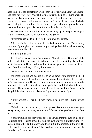head to look at the perpetrator. Didn't they know anything about the Tauma? Did they not know how special, how precious the hair of a Tauma was? The hair of the Tauma contained their power, their strength, and their very life's essence. The Rarder pulling on his hair was tugging on the very core of who he was. Seeing the ice cold rage in the Rarder's eyes, Milenther pulled back his sword and ran the tip of his sword through the other man's belly.

He heard his brother, Catillawn, let out a victory squall and jumped slightly as the Rarder released his hair and fell to the ground.

"Milenther has made his first kill!" Catillawn exclaimed.

Milenther's face flamed, and he looked around as the Tauma army continued fighting but with renewed vigor, their yells and shouts louder as they took pleasure in his kill.

*I'm going to be sick*.

Recalling his halted training as a warrior, Milenther shoved the image of the fallen Rarder into one corner of his brain. He needed something else to focus on, to think about. He needed something that was going to remove the lifeless gaze from his mind's eye, if only for a moment.

"Milenther! Look out!" Catillawn shouted.

Milenther blinked and ducked just as an ax came flying towards his head. Sighing in relief, he firmed his jaw and returned his attention to the battle raging on around him. He had no time for daydreaming. He was in the middle of a battle. He could put his hand to his groin later and think about the darkblue-haired beauty, when they had won this battle and made the Rarders pay for the grief they had caused the Taumas. Right now he had to fight.

\*\*\*\*

Yarulf winced as his head was yanked back by the Tauma prince, Reprimuric.

"We do not want your land, or your palace. We do not even want your paltry money. We want an eye for an eye. We want what you have taken from us."

Yarulf trembled, his body weak as blood flowed from the cuts on his body. He glared at the Tauma army that held his own army in a similar submissive fashion. His father and mother were kneeling in the middle, in the dirt. His sister was the only one standing, her head raised in a sign of defiance as she glared at the Tauma prince.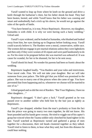Yarulf wanted to leap up from where he knelt on the ground and drive a knife through the barbarian's chest, but his father shook his head. They had been beaten, bested, and while Yarulf knew that his father was cunning and smart and undoubtedly had a trick up his sleeve, he would not go against the rules of the spoils of battle.

"You have bested us, it is true, Prince Reprimuric. However, my daughter, Sumardea is with child. It is why we were having such a hasty wedding," Gilrad said.

Yarulf's eyes widened, and he looked at Sumardea, who blushed and looked away from him, her eyes darting up to Dugezuu before looking away. Yarulf could scarcely believe it. The Rarders were a moral, conservative, noble race. The women did not engage in pre-marital relations unless they were lightskirts and then only if they were women of ill-repute and were paid handsomely to do so. For his sister to be pregnant before she was married was unheard of. It was cause for scandal, for her to be shunned, for her to be sent away.

Yarulf shook his head. No wonder his parents had been so frantic about the wedding.

Reprimuric laughed loudly. "You Rarders and your rules and restrictions. Your moral code. Fine. We will not take your daughter. But we will take someone from your palace. The little girl that you killed was promised to the palace. She was to marry one of the princes when she came of age. You have prevented that from happening and so, whomever we choose will be married to one of us."

Gilrad gasped and so did the rest of Rarders. "But Your Highness, I have no other daughters…"

Reprimuric shrugged. "I don't give a fuck." Yarulf grunted as he was passed over to another soldier who held him by the hair just as tightly as Reprimuric.

Yarulf's jaw dropped, whether from the man's profanity or from the fact that the prince was going to marry two men together, he did not know. His heart pounded and his hands grew sweaty. He tried to wiggle out of his captor's grasp but winced when the Tauma soldier only clenched his hand tighter in his hair. Yarulf watched as Reprimuric turned and gathered a group of men together for a discussion, their red heads clustered together as they talked. Yarulf tried to listen to them, to hear what they said, but from this distance he could hear nothing.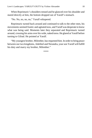When Reprimuric's shoulders tensed and he glanced over his shoulder and stared directly at him, the bottom dropped out of Yarulf's stomach.

"No. No, no, no, no," Yarulf whispered.

Reprimuric turned back around and continued to talk to the other men, his movements seemed frantic and agitated now, and Yarulf was desperate to know what was being said. Moments later they separated and Reprimuric turned around, crossing his arms over his wide, naked torso. He glared at Yarulf before turning to Gilrad. He pointed at Yarulf.

"My youngest brother, Milenther, has requested him. In order to bring peace between our two kingdoms, Adethiel and Nerandra, your son Yarulf will fulfill his duty and marry my brother, Milenther."

\*\*\*\*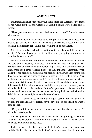# **Chapter Three**

<span id="page-18-0"></span>Milenther had never been so nervous in his entire life. He stood, surrounded by his twelve brothers, and watched as Yarulf's trunks were loaded onto a carriage.

"Have you ever seen a man who had so many clothes?" Cunedith asked with a sneer.

"It won't matter how many clothes he brings with him. He won't need them once he gets back to Nerandra," Evien, Milenther's second oldest brother said, cleaning the dirt from beneath his nails with the tip of his dagger.

Milenther glared at his brothers and turned to face them with his hands on his hips. "Are you all going to be nice to him, or are you going to be complete assholes the whole time?"

Milenther watched as his brothers looked at each other before they grinned and said simultaneously, "Assholes." He rolled his eyes and laughed. His brothers were overprotective and overbearing, it was true, and they were all huge, broad-shouldered warriors, Princes of the Kingdom of Nerandra. When Milenther had been born, his parents had been positive he was a girl for the first three years because he'd been so small. He was just a girl with a cock. When he'd shown no affinity or desire for fighting, the outdoors, or physical activity growing up, his father had despaired, seeking the elders and the shamans to see if they could tell him what was wrong with his youngest son. It was only when Milenther had placed his hands on Pertink's open wound, his fourth oldest brother, and the wound had healed, that the family had realized Milenther didn't have a desire to fight because he was a healer.

Now, as Milenther watched his much larger, dark-haired *husband* walk towards the carriage, he wondered, for the first time in his life, if he wasn't good enough.

"Do you think he wishes that I was a warrior like the rest of you?" Milenther asked quietly.

Silence greeted his question for a long time, and growing concerned, Milenther looked around at his brothers and saw the way they all looked at him, worry etched on their tanned faces.

Ioellenan placed his large paw on Milenther's shoulder and squeezed slightly. "Milly," he said, using Milenther's nickname, something he only did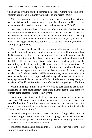when he was trying to soothe Milenther's emotions. "I think you could be the fiercest warrior and that Rarder would still be one pissed *volke*."

Milenther looked over at the carriage where Yarulf was talking with his parents, his face pulled into a scowl as he glared at Milenther and his brothers, his arms folded across his chest and then back at Ioellenan. "Why?"

"Because, Little One, the Rarders do not believe as we do. They believe that only men and women should lay together. For a man and a man to lie together, or a woman and a woman, is disgusting and an abomination. Yarulf is bringing dishonor and shame to his kingdom and his family by marrying you. But he is doing it to bring peace. He does not like it. So you may want him, but you are fighting an uphill battle."

Milenther's eyes widened at his brother's words. He looked over at his new husband, a new understanding flooding his being. He did not know much about the Kingdom of Adethiel, having spent most of his life in the apothecary, the palace, the hospitals, and the schools caring for the sick and spending time with the children. He was not really cut out for the cutthroat world of politics and the bloodthirsty world of the military. He was a healer. He was a *zemitushu*. A homebody. A lover, not a fighter. So he didn't know a lot about the outside world. That had apparently done him a disservice when it came to being married to a Rarderian soldier. While he knew many other *zemitushus* who were just as fierce, or could be just as bloodthirsty in battle as their spouses, his being a prince and a healer had not afforded him the same courtesy. Now, his marriage to Yarulf, the Rarderian prince of Adethiel, was going to suffer for it.

What had he gotten himself into? How was he ever going to get his new husband to like him, much less love him, if the man thought the idea of the two of them being together was inherently wrong?

"And more than that, the fact that his father agreed to it, makes me suspicious," Reprimuric said, his tone suspicious, as he narrowed his eyes in Yarulf's direction. "I'm all for you being happy in your new marriage, little brother. However, until your new husband shows that his loyalties lie with the Tauma, I will not trust him."

"Does that surprise anyone?" Grote said with a laugh. The closest to Milenther in age, Grote's hair was cut short, stopping to just above his ears. His eyes were a bright purple, and he was the jokester of the group. He always knew what to say to make Milenther laugh.

Milenther chuckled and cuddled into Grote's side when his older brother wrapped his arm around him.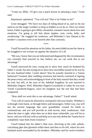"Come on, Milly. I'll give you a quick lesson on pleasing a man," Grote said.

Reprimuric spluttered. "You will not! That is for Father to do!"

Grote shrugged. "We have two days of riding ahead of us, and we do not need to use the magic wielders to keep us hidden as we do so. Once we return home, Father is going to give Milly a beautiful, romantic lesson about love and emotions. I'm going to tell him about nipples, cum, cocks, balls, and swallowing." He waggled his eyebrows, and Milenther's face flamed at his brother's crassness even as he hurried after him curiously.

\*\*\*\*

Yarulf focused his attention on his father, his arms folded across his chest as he struggled to not scream out against the injustice of it all.

"My son, I know that you are infuriated and disgusted by the circumstances you currently find yourself in, but, believe me, we can work this to our advantage."

Yarulf narrowed his eyes, trying not to show how much he doubted his father's words, but also trying not to show how incredibly turned on he was by his new *husband* either. *Cyalni* above! Was he actually married to a Tauma barbarian? Granted, their wedding ceremony had merely consisted of signing the peace treaty and acknowledging in front of the holy eunuch that they would be wed, but still, in the eyes of the Adethiel kingdom, he was married to Milenther Dagorn. Well, Milenther Dagorn-Cossoberth or rather he was now Yarulf Cossoberth-Dagorn, since his kingdom was the one that had been conquered.

"How shall we work this to our advantage, Father?" Yarulf asked.

"You will of course be allowed to correspond with your family. Whether it is through visits home, or through letters and messengers. Either way, you will use the ancient language that your grandfather created for battle to communicate, and you will provide us with secrets, intel, weaknesses. And when the time is right, when they are at their most vulnerable, you will let us know, and you will join with us and help us to not only defeat the Tauma but to completely wipe them from existence."

Yarulf looked into his father's blue eyes, shivering at the cold, unholy, calculating glee that gleamed within them and then to his left, where his new husband stood surrounded by his brothers. Milenther and his twelve brothers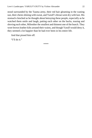stood surrounded by the Tauma army, their red hair gleaming in the waning sun, their chests shining with sweat, and Yarulf's throat went dry with lust. His stomach clenched as he thought about betraying these people, especially as he watched them smile and laugh, patting each other on the backs, teasing and shoving each other, Milenther the smallest and thinnest one of the bunch. They wore brown leather kilts around their waists, and though Yarulf would deny it, they seemed a lot happier than he had ever been in his entire life.

And that pissed him off.

"I'll do it."

\*\*\*\*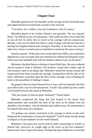## **Chapter Four**

<span id="page-22-0"></span>Milenther glanced over his shoulder at the carriage for the fourteenth time and sighed before he turned back around to face forward.

"You know, for a soldier, your new husband is a bit of a pussy."

Milenther glared at his brother Daimiro and growled. "He was injured, Daim," he offered in way of explanation, "and would not allow me to heal him as you all did. So allow him to travel in his carriage with his manservant. Besides, I am sure he needs this time to come to grips with the fact that he is leaving his kingdom behind and coming to Nerandra. If the shoe were on the other foot, I know I would want my husband to extend me the same courtesy."

Daimiro snorted. "If the shoe were on the other foot, Milly, you would have figured out a way to escape with your manservant without him being the wiser, while your new husband rode with his brothers ahead of you on his horse."

Milenther chuckled before a feeling of dread filled him. His eyes widened and he turned to look at Daimiro. His brothers ceased their chatter and all conversation came to an abrupt halt. Milenther turned his mount around and maneuvered him back towards the carriage. Easing down off the side of his horse, Milenther wrenched open the door of the carriage, worry flooding his body at the possibility of finding it empty.

He gasped when he found himself face to face with his husband, the blue eyes filled with a sort of cold amusement. Yarulf's lips pulled up into a smirk as he leaned forward and stared at Milenther.

"Did you expect to find me gone, *husband*?" Yarulf asked.

Milenther swallowed the lump that had formed in his throat from embarrassment and scratched the back of his neck as he looked over his shoulder at his brothers, who all whistled and walked away. He stammered as he looked back at his new husband.

"Or perhaps you merely raced back to the carriage to check on the wellbeing and the countenance of your new *husband*?" Yarulf asked, his lip raising in disgust as he put emphasis on the word husband.

Milenther's face grew hot, but he tried to smile reassuringly at Yarulf, to placate him. However, he caught sight of the wince on his new husband's manservant's face. It gave him pause. Perhaps this type of behavior was normal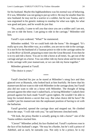for his husband. Maybe this highhandedness was his normal way of behaving. If it was, Milenther was not going to put up with it. He may be smaller than his new husband; he may not be a warrior or a soldier, but he was Tauma, and it was engrained in his genetic makeup to standup for what was right, for what was good and pure, and he would do just that.

"No, actually, I came to tell you that since you are a soldier and I am not, you are to ride the horse. I am going to ride in the carriage," Milenther told him.

Yarulf's eyes widened. "What?" he stammered.

Milenther nodded. "Or we could both ride the horse." He shrugged. "It's really up to you. But either way, as a soldier, you are not to ride in the carriage. It is not fit for the husband of a Tauman prince to ride in the carriage unless he is at the *River of Zenith,* preparing to enter into the Great Beyond. Even then he is to try and ride a horse. You are to ride a horse at all times. So, get out of the carriage and get on a horse. You can either ride my horse alone and let me ride in the carriage with your manservant, or we can ride my horse together."

Milenther grinned at Yarulf.

"The choice is yours."

\*\*\*\*

Yarulf clenched his jaw as he stared at Milenther's smug face and then glanced over at Biumula, who looked back at him fearfully. He knew that his manservant did not want to ride with Milenther in the carriage alone, but Yarulf also did not want to ride on a horse with Milenther. The thought of being pressed against the other man's naked back, or having Milenther's naked chest pressed against his back made Yarulf's groin tighten. He wouldn't be able to keep his twisted desires a secret that way. But what choice did he have? He couldn't put his manservant into the unpleasant position of having to sit with the barbarian.

Yarulf growled, opened the carriage door and stepped out. He climbed down the steps. "I will ride with you," he said between clenched teeth.

"Oh look, the prissy Rarder is actually going to ride a horse!" one of the Tauma soldiers mocked him.

"Cieron!" Milenther yelled, his face flushed red. Yarulf's eyebrows rose in the face of his husband's anger. "He may be a Rarder, but he's still a prince of Adethiel, and as such, he outranks you. Not only is he a prince, he is my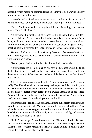husband, which means he commands respect. I may not be a warrior like my brothers, but I am still a prince."

Cieron bowed his head from where he sat atop his horse, glaring at Yarulf before he looked apologetically at Milenther. "Apologies, Your Highness."

"*Seken*." Milenther said, thanking the soldier for his apology, then looked over at Yarulf. "Shall we?"

Yarulf nodded, a small seed of respect for his husband burrowing itself inside of his heart. As he followed Milenther towards his horse, Yarulf found his eyes drifting down over Milenther's naked back to his pert, round ass. Yarulf's mouth went dry, and his mind filled with salacious images of himself kneeling behind Milenther, his tongue buried in the red-haired man's bum.

He was pulled out of his dark musings by the sound of someone clearing his throat. Yarulf glanced up to see Milenther's older brother Madita staring at him with a smirk on his face.

"Better get on the horse, Rarder," Madita said with a chuckle.

Yarulf cleared his throat hoping no one saw his hardness pressing against the front of his breeches as he walked over to the horse, placed his right foot in the stirrups, swung his left foot over the back of the horse, and settled himself in the saddle.

Milenther stared up at him and smiled. "How do you want me?" he asked softly. Yarulf swallowed and shoved away the images that filled his mind, sure that Milenther didn't mean his words the way Yarulf had taken them. He shook his head and wondered which position would wreak less havoc on his senses. Knowing that if Milenther were sitting in front he would feel Yarulf's hard shaft, Yarulf pressed forward and gestured behind him.

Milenther nodded and held up his hand. Huffing out a breath of annoyance, Yarulf reached down to help Milenther up into the saddle behind him. When Milenther's toned arms wrapped around his waist, and the other man's warm breath blew against the side of his neck, Yarulf shivered slightly, and realized that he may have made a mistake.

"Milly? Can we go?" Yarulf looked over at Milenther's brother Nusaces and scowled. The broad shouldered man looked as if he were exasperated with Milenther and, for some reason, that irritated Yarulf. Pulling Milenther tightly against his back, Yarulf glared at Nusaces.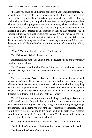"Perhaps you could be a little more patient with your youngest brother? As I understand it, he is a healer, not a warrior and soldier like you, your brothers, and I. He has fought in a battle, survived, gotten married and ridden half a day astride a horse with nary a complaint. I have heard some of your own soldiers, who are currently bringing up the rear of your caravan, who cannot boast of the same fortitude. So before you dare show that impatient glower towards my husband and your brother again, remember that he has matched you in endurance this day, without being trained to do so." Yarulf picked up the reins of the horse's bridle and, after clicking his tongue, lightly pressed his heels into the horse's side. Leaving a stunned Nusaces staring after him and Milenther as they went to join Milenther's other brothers at the front of the returning military caravan.

"Wow," Milenther breathed against Yarulf's neck.

Yarulf shivered. "What?" he croaked out.

Milenther shook his head against Yarulf's shoulder. "N-no one's ever really stood up for me before."

Yarulf looked over his shoulder at Milenther, his eyebrows raised in surprise. "Really? I find that hard to believe. You and your brothers seem very close."

Milenther shrugged. "We are. Extremely close. No one really messes with me outside of them. They tease me all the time and my parents are always telling me that I just need to grow a thicker skin because my brothers are joking with me. But do you know what it's like to be surrounded by warriors and not be one? No one's ever really pointed out to them that, even though I'm different from them, I still keep up. That was—wow."

Yarulf didn't want to examine the warm feeling expanding in his chest. He couldn't feel anything for this barbarian. For this… Tauma. He wasn't going to be in Nerandra for long. He was only going to be there long enough to get information. For the family to trust him and reveal their weaknesses. Then he would convey the information to his father, and at the right time, Adethiel would strike and wipe the Tauma off the map. Yarulf would walk away and forget that he'd ever been married to Milenther.

He'd forget that Milenther's arms had ever been wrapped around him.

That Milenther's breath ever feathered the hairs at the base of his skull.

That he could feel Milenther's heartbeat.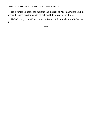He'd forget all about the fact that the thought of Milenther *not* being his husband caused his stomach to clench and bile to rise in his throat.

He had a duty to fulfill and he was a Rarder. A Rarder always fulfilled their duty.

\*\*\*\*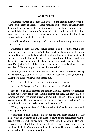### **Chapter Five**

<span id="page-27-0"></span>Milenther yawned and opened his eyes, looking around blearily when he felt the horse come to a stop. He lifted his head from Yarulf's back and wiped the drool from the side of his mouth, blushing furiously and hoping his new husband didn't find his drooling disgusting. He tried to figure out where they were, but the inky darkness, coupled with the large trees of the forest that surrounded them, made that impossible.

"We'll sleep here for the night and continue in the morning," Reprimuric stated loudly.

Milenther noticed the way Yarulf stiffened as he looked around and wondered what was going through the Rarder's head. Deciding that he would wait until they were bunked down for the night, Milenther kept his mouth shut. He leaned forward, allowing his hair to touch Yarulf more fully and made sure that as they had been riding, his hair and healing magic had been healing Yarulf's injuries. Satisfied that Yarulf's wounds were sealed and had become new flesh, Milenther sighed in exhaustion and relief.

"Milly, you and your *husband*, can take the tent. His manservant can sleep in the carriage, that way we don't have to hear the carriage rocking," Milenther's older brother Jacoun teased him.

Milenther flushed and felt Yarulf chest vibrate as he growled.

"Do you all always speak in such a manner?" Yarulf asked.

Jacoun looked at his brothers and back at Yarulf. Milenther felt confusion fill him, what was wrong with what his brother had said? He knew that he'd complained about his brothers teasing him, but he'd been talking about them teasing him about being a healer, or being smaller. This was them showing their support for his marriage. What was Yarulf's problem?

"You got a problem, Rarder?" Silain, another of Milenther's brothers, said, scowling at Yarulf.

Yarulf sighed, and Milenther unwrapped his arms from around the other man's waist and watched as Yarulf climbed down off the horse, steadying the large animal. Before he turned to face Milenther's brothers, he folded his arms across his chest, the fabric of his jacket pulling taut across his biceps and shoulders. Milenther's mouth went dry at the sight, and he dropped his hand to his lap to hide his hardening erection.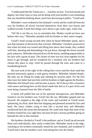"I understand that the Tauma are a… classless society. You lack morals and dignity, but what I may or may not be doing with your brother is not something that you should be thinking about, much less discussing in public," Yarulf said.

Milenther's eyes widened at his husband's words and he could tell from the way his brothers all slowly lowered themselves from their own horses and walked towards Yarulf that things were about to get really ugly, really fast.

"Sil! He is not like us. Let us remember this. Mother would not have you behave this way," Milenther pleaded with his brother in their native tongue.

Yarulf's head swung towards him when he heard Milenther speak, and it was that moment of distraction that cost him. Milenther's brothers pounced on him when his head was turned and lifting him above their heads, they walked with him, shouting and demanding to be put down, through the forest towards parts unknown. Milenther hurried down off the horse, tumbling ungracefully to his face with a grunt of pain. The cluster of trees was too close together for his horse to get through, and he wondered for a moment why his brothers had chosen this place to stop. Until he passed through the trees and came to a breathtaking beach.

His eyes took in the sight of the rolling blue waves and the clean sand that pressed sensuously against a wide grassy meadow. Milenther inhaled deeply, the salty sea air filling his lungs and calming his anxious spirit. For the first time since his father had sent him with his brothers to fight against the Rarders, Milenther felt himself relax and become at peace. He'd always felt a closeness with nature and being here on this beach made him feel as if a part of his soul were being cleansed from the filth of battle.

A harsh yell pulled him out of his spiritual introspection, and Milenther turned to see his brothers toss Yarulf into the sea. Milenther gasped and ran forward. He stopped at the edge of the water and watched as Yarulf stood, spluttering, his thick, dark-blue hair dripping and plastered around his face and head. His fancy clothes clung to him like a second skin, and Milenther swallowed back the moan that threatened. He could only hope that none of his brothers looked his way right then, because he had a serious problem going on beneath his kilt in that moment.

His brothers chortled at Yarulf's discomfiture, and as Yarulf raced towards them each individually, they easily evaded him. Milenther stood at the edge, watching as his brothers essentially teased his new husband, and wondered if Yarulf knew that his brothers were welcoming him into the family.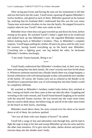After racing past Evien and having the man use his momentum to lift him and toss him back into the water, Yarulf stood, squaring off against Milenther's twelve brothers, and glared at each of them. Milenther gnawed on his bottom lip, realizing that his husband didn't understand that this was the way many Tauma men welcomed a brother-in-law into the family. He stepped forward to explain when he saw Yarulf's blue eyes settle on him.

Milenther froze when that cool gaze traveled up and down his form, before resting on his groin. He watched Yarulf's Adam's apple bob as he swallowed and looked back up into Milenther's eyes. He regarded Milenther intensely before looking back at Milenther's brothers. Then, to Milenther's complete surprise, Yarulf began pulling his clothes off piece by piece until he only wore his trousers, having tossed everything up on the beach near Milenther. Crouching into a fighting pose, one leg behind the other, he beckoned Milenther's brothers mockingly.

"I am ready Tauma bastards. Bring it on."

\*\*\*\*

Yarulf finally understood that Milenther's brothers had, in their own way, been welcoming him into their family. He wasn't exactly sure how he felt about it. Whenever someone married into a Rarder family there was a huge banquet, a formal celebration with well-dressed people as they welcomed the new member of the family. Of course, the Tauma were not as cultured as the Rarder so he should have expected that their way of welcoming him into their family would be completely different.

He watched as Milenther's brothers traded looks before they smirked at him. Letting out battle cries they came at him one after the other. Grappling and wrestling in the water ensued, and Yarulf found himself laughing as he tussled with the muscled Tauma warriors. He was tossed into the water more times than he cared to think about, but before long, he and all of the other men rested on the beach on their backs, chuckling.

Milenther stood above them, his arms crossed over his chest as he stared down at all of them, his eyebrow quirked.

"Are you all done with your display of brawn?" he asked.

Yarulf felt a surge of lust and adrenaline rush through him, and he had to fight the urge to leap to his feet and sweep Milenther up into his arms and kiss the other man senseless. Or to give into his other, darker desires and push his erection deep into the slender man's body.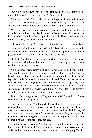"Oh Milly, calm down. Your new husband has done well. Father will be proud of the match that you have made," Daimiro said.

Milenther scoffed. "Yeah well, that is not the point. The point is, that we stopped so that we could eat, cleanse our bodies and sleep, so that we could continue our journey tomorrow. Yet you all are acting like children."

Yarulf pushed himself up into a seated position and turned to look at Milenther, his eyebrows raised at the other man's tone. He would have thought that Milenther would have been happy that Yarulf had been bonding with his brothers. Instead, it seemed as if he were annoyed.

Silain chuckled. "Fine, Milly. We'll act like adults and get the camp set up."

Milenther nodded, turned on his heel, and walked off. Yarulf watched as he walked away before turning to the man's brothers, opening his mouth to question them. Grote shook his head and held up his hand.

"Milly isn't really upset that we were having fun with you. He's just upset that you were having fun without *him*. I think you need to go and talk to your new husband, Rarder," Grote said.

Yarulf nodded, nervousness settling in his belly as he stood, brushing the sand from his ass. Could he trust himself to talk to Milenther without pulling the other man to him tightly and ravishing him in the middle of the forest? Regardless of the fact that they were essentially wed, Yarulf had been raised to believe that two men lying together was inherently wrong. A depravity, a dark and perverse desire. It was one of the reasons that his father wanted the Tauma exterminated. It was the reason Yarulf hid his own desires so fiercely. Milenther made those desires extremely hard to ignore.

# *I am a soldier and prince of the Kingdom of Adethiel. I can talk to a Tauma male and not be ruled by my flesh*.

Squaring his soldiers, Yarulf marched after Milenther. He found the other man standing by his horse, removing his saddlebags and directing the army towards the beach to set up the camp. Yarulf stood and watched the play of muscles in the other man's back for a moment. His mouth grew dry, and he imagined himself walking over to Milenther and licking the naked skin from the man's neck down to his round, pert ass.

Swallowing back his groan, Yarulf walked up to Milenther and cleared his throat. He saw Milenther stiffen for a moment, but the other man continued his earlier actions without turning around or even acknowledging Yarulf's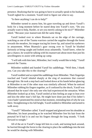presence. Realizing that he was going to have to actually speak to his husband, Yarulf sighed for a moment. Yarulf tried to figure out what to say.

"Is there anything I can do to help?"

Milenther turned to assess him, his gaze traveling up and down Yarulf's body for a long moment before he stared deep into Yarulf's eyes. "Do you actually want to help, Rarder, or are you merely asking to be nice?" Milenther asked. "Because your manservant did the same thing."

Yarulf looked over to where Biumula sat on the edge of the carriage, watching as one of the Tauma warriors carried the supplies through the forest towards the meadow, his tongue tracing his lower lip, and raised his eyebrows in amazement. When Biumula's gaze swung over to Yarulf he blushed furiously at being caught and looked away ashamedly. Yarulf knew, when he got a chance, he would be talking with his manservant about more than just his unwillingness to assist with setting up camp.

"I will talk with him later, Milenther, but I really would like to help," Yarulf assured the Tauma.

Milenther nodded and handed Yarulf his saddlebags. "Well then, I thank you. Can you take this to the clearing?"

Yarulf nodded and accepted the saddlebags from Milenther. Their fingertips touched and Yarulf inhaled sharply at the zing of awareness that coursed through him. He took a step back and looked down at his hands before glancing at Milenther to see if the other man was similarly affected. When he noticed Milenther rubbing his fingers together, as if confused by the shock, Yarulf was pleased that he wasn't the only one who had experienced the sensation. When Milenther looked up at him, Yarulf smiled at him feeling an urge to lean over and kiss the other man's full lips. He might have done just that if his father's voice hadn't penetrated his mind at that moment, reminding him of why he was there. Straightening to his full height, Yarulf nodded to Milenther and turned to walk away.

"Yarulf?" Milenther called. Yarulf stopped and glanced over his shoulder at Milenther, his heart pounding as he watched Milenther free his hair from the ponytail he'd had it in and run his fingers through the long strands. "I look forward to tonight."

All of the air in Yarulf's lungs left him in a rush, and turning back around, he hurried through the forest to the clearing to place the saddlebags into the tent he would be sharing with Milenther.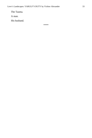The Tauma.

A man.

His husband.

\*\*\*\*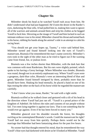## **Chapter Six**

<span id="page-33-0"></span>Milenther shook his head as he watched Yarulf rush away from him. He didn't understand what had just happened. He'd seen the desire in the Rarder's eyes, darkening the blue orbs. It had pulled him in, making him want to ignore all of the warriors and animals around them and strip his clothes as he begged Yarulf to fuck him. Shivering as the image of Yarulf and him locked in such an intimate embrace rose to his mind, Milenther cleared his throat and turned back to his horse, rubbing his hands along the animal's side in an attempt to calm his racing heart.

"You should not get your hopes up, Tauma," a voice said behind him. Milenther turned and found himself looking into the eyes of Yarulf's manservant, Biumula if he remembered the man's name correctly. Milenther's eyes took in the sight of the other man as he tried to figure out if the warning came from friend, foe, or jealous lover.

Biumula was a few inches shorter than Milenther, with the dark hair that was common with most Rarderians. But his ears were slightly pointed, which spoke to his having a Gerey heritage. Where Milenther was slender, Biumula was round, though not in an entirely unpleasant way. Where Yarulf's eyes were a gorgeous, dark-blue color, Biumula's were an interesting blend of blue and green. Milenther found himself intrigued by them, probably more than he should have been. Shaking his head mentally, he placed a hand on one of his hips resting the other on the back of his horse while he regarded the manservant carefully.

"I don't know what you mean, Rarder," he said with a tight smile.

Biumula scoffed as he walked closer and gestured with a tilt of his head in the direction where Yarulf had just ran off. "Yarulf is a proud prince of the kingdom of Adethiel. He follows the rules and customs of our people without fail. Two men lying together is against our laws. That is not something that he would ever go against. Even if he has been forced to marry you."

Milenther glanced over his shoulder towards the forest, his thoughts swirling as he contemplated Biumula's words. Could the manservant be right? Yarulf had run away from him quickly. Perhaps theirs would not be the marriage that Milenther had been fantasizing about for the past few hours.

No sooner had that thought entered his mind, than he remembered the way Yarulf's blue eyes had darkened with desire as he'd looked at Milenther. Yarulf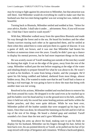may be trying to fight against his attraction to Milenther, but that attraction was still there. And Milenther would do everything he could to make sure that his husband saw that two men being together was not wrong but was, indeed, very beautiful.

Turning back to Biumula, Milenther smiled and nodded at him. "*Seken* for your advice, Rarder. I shall take it under… advisement. Now, if you will excuse me. I find that I have need to wash myself."

With that, Milenther walked away from the speechless Biumula and made his way through the forest and to the sea. He heard his brothers and the other Tauma warriors teasing each other as he approached them, and he smiled at them when they asked him to come and join them in a game of shaconr. It was a game of skill, not brawn, and it was one that Milenther had beaten his brothers at numerous times over the years. Usually he didn't pass up a chance to display his mental prowess, but he had more important things on his mind.

He was acutely aware of Yarulf standing just outside of the tent they would be sharing that night. It sat on the edge of the grass, away from the rest of the camp. Milenther walked past the tent before stopping at the edge of the water and inhaling deeply to prepare himself for what he was about to do. He wasn't as bold as his brothers. It came from being a healer, and the youngest. He'd spent his life being coddled and babied, sheltered from most things, almost hidden away. But, if he wanted to make sure that he and Yarulf had a chance at having a real marriage, he was going to have to show the man that being with another man was not wrong.

Resolved in his actions, Milenther nodded and reached down to remove his belt from around his waist. He dropped it to the sand even as he reached up to pull his baldric over his head and lay it on the ground next to his belt, carefully, since it held not only his sword but some healing potions and herbs within the leather pouches, and they were quite delicate. While he was bent over, Milenther pulled off the leather sandals that were strapped up his legs to his knees. Once that was done, he released the fastening on his kilt and let it fall on top of the rest of his things. He heard a choked gasp and smirked. Yarulf sounded a lot closer than the tent and it gave Milenther hope.

Stretching his arms up above his head, making sure to put his body on display for his husband, Milenther ran his fingers through his hair, before he bent back over, his ass pointed directly at Yarulf, as he pulled out his bar of lye soap mixed with strips of bergamot and cinnamon. Without a backward glance,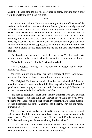Milenther headed straight into the sea water to bathe, knowing that Yarulf would be watching him the entire time.

\*\*\*\*

As Yarulf sat with the Tauma that evening, eating the elk some of the soldiers had hunted and skinned earlier for the meal, he was acutely aware of Milenther sitting on the log next to him. Watching Milenther undress for his bath earlier had been the most foolish thing that Yarulf had ever done. No. No. Watching Milenther bathe was the most foolish thing he had ever done, watching him undress was the *second*. Yarulf's shaft was still hard in his breeches, in spite of the fact that he'd shot his load twice during his own bath. He had no idea how he was supposed to sleep in the tent with the red-haired siren without giving into his depravities and fucking him until they both expired from bliss.

The thought of dying from too much pleasure caused Yarulf's lips to twist up into a smile and he turned to Milenther when the other man nudged him.

"What is that smile for, Rarder?" Milenther asked.

Yarulf shrugged. "Nothing. It was my own private thought, Tauma, or am I not allowed those?"

Milenther blinked and nodded, his cheeks colored slightly. "Apologies. I just wanted to share in whatever would bring a smile to your face."

Yarulf sighed. He'd been short with the other man, which hadn't been his intention. He would never be able to fulfill his duty to his father if he couldn't get close to these people, and the way to do that was through Milenther. He reached out to touch the back of Milenther's hand.

"No need to apologize. I must admit that my shortness with your question was not because I did not think you allowed me to have my own private thoughts or because I feel as though you and your family have caused me some offense. It is merely due to the… nature of the thoughts. They are of a more… intimate nature."

Milenther's eyes widened as he listened to Yarulf, and he glanced around, as if he were afraid that someone would overhear their conversation, then he looked back at Yarulf. He leaned closer. "I understand. I'm the same way. I don't like to share my sex fantasies with my brothers either."

Yarulf chuckled. "Well, these thoughts would have caused me much problem back home had anyone been aware of me having them. Because they were of me with another male. They were of me and you."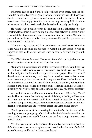Milenther gasped and Yarulf's grin widened even more, perhaps this wouldn't be as hard as he'd originally thought. He watched as Milenther's pale cheeks reddened and a pleased expression came onto his face before the man looked over at him shyly. Yarulf had the insane urge to sweep Milenther into his arms and kiss him passionately, but he resisted, but only just barely.

He turned to look out across the fire and noticed that Milenther's brother Laselni watched them closely, rolling a piece of bark between his teeth. Yarulf scowled at the other man and glanced away from him, only to find Milenther's gaze trained on his face. He raised his eyebrows and hoped his expression was open and not too surprised.

"You think my brothers and I are truly barbarians, don't you?" Milenther asked with a tight smile on his face. It wasn't a happy smile. It was an expression that made Yarulf nervous when he saw it. Nervous and yet, still aroused.

Yarulf felt his own face heat. He opened his mouth to apologize but stopped when Milenther raised his hand and shook his head.

"Our people may not dress and act the way your people act, Yarulf, but that does not make us barbarians. We are free people. We laugh. We love. We are not bound by the restrictions that are placed on your people. That tell them, if they do not act a certain way, or if they do not speak or dress or live or even *love* a certain way, then that means that they are worthless." Milenther stood and glared down at Yarulf, his eyes flashing purple fire, and try as he might to resist it, Yarulf's dick leaked a bit of pre-cum. He found Milenther irresistible in his fury. "To you we may be the barbarians, but to us, you are the animals."

And with those words Milenther turned and marched off in a fury. Yarulf watched him and knew that had they been in Adethiel, in the Royal Theatre, at that very moment the crowd would have surged to their feet to applaud Milenther's impassioned speech. Yarulf himself was hard-pressed not to find a dozen *poszumas* flowers and toss them before the flame-haired beauty.

"So do you plan to sit there looking like a *dulanthar* for the rest of the evening, or are you going to go after him like the *chrabivina* that we think you are?" Brylir questioned Yarulf from across the fire, though he never once looked at him.

Yarulf's eyes widened at Brylir's use of the word *chrabivina*. Being called a *dulanthar*, an ass, was something he expected as a Rarder. But a *chrabivina*? A man of integrity and honor? A Tauma gentleman?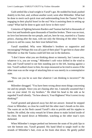Guilt settled like a lead weight in Yarulf's gut. He nodded his head, pushed shakily to his feet, and, without another word, went after Milenther. What had he done to merit such quick trust and understanding from the Tauma? Was it engaging in their playful brawl in the sea? Was it assisting them in setting up camp? What had he done to gain such favor in their eyes?

Centuries of fighting between Rarders and Taumas had led to thousands of lives lost and hundreds upon thousands of families broken. There was no trust, no love lost between the two people, and yet, here he was, married to a Tauma prince, chasing after the man, with not only the blessing of the other Tauma princes to aid his cause, but their trust behind him.

Yarulf stumbled. Why were Milenther's brothers so supportive and encouraging? Perhaps this was all a part of their plan? To get him to chase after Milenther so that the Tauma could kill him out in the darkness.

"I don't know what you are thinking about so intensely, but I assure you, whatever it is, you are wrong." Milenther's soft voice drifted in the wind to him, and Yarulf turned to see him standing just to the left, leaning against a tree. Yarulf walked closer to him, his steps measured as he tried to assess if the other man was on the verge of attacking him or was merely in a contemplative state.

"How can you be so sure that whatever I am thinking is incorrect?" He asked.

Milenther shrugged. "You have been wrong about most things concerning me and my people. Since you are chasing after me, I naturally assumed that I was on your mind. Or my brothers." He tilted his head to the side as he regarded Yarulf silently. "So how about it, Your Highness? Was I correct in my thinking?"

Yarulf grunted and glanced away but did not answer. Instead he stepped closer to Milenther, so close he could feel the other man's breath on his skin. The warm air on his flesh caused Yarulf's skin to prickle and his nipples to harden. He stilled, the witty remark he'd been about to make locked inside of his chest. He stared down at Milenther, watching as the other man's eyes darkened.

When Milenther's tongue peeked out between the seam of his pink lips to wet the bottom one, Yarulf groaned. His hand lifted to tangle itself in the strands of Milenther's hair, even as his brain shut down. He gently pulled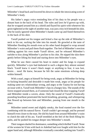Milenther's head back and lowered his down to inhale the intoxicating scent of Milenther's body.

His father's angry voice reminding him of his duty to his people was a distant hum in the back of his head. The rules and laws he'd grown up with, that he wrapped around him as a shield and flayed his spirit with whenever his groin tightened at the sight of another man, was just a tiny itch beneath his skin. One he easily ignored when Milenther's hands came up and fisted themselves in the back of his shirt.

Yarulf pushed out his tongue and licked a line up the side of Milenther's neck to his ear, sucking the lobe into his mouth. He growled at the taste of Milenther flooding his mouth even as his other hand dropped to wrap around Milenther's waist and pull them flush together. The feel of Milenther's erection rubbing against his own made Yarulf shiver, and he released Milenther's earlobe to kiss along Milenther's jawline to his chin. He nipped the skin there gently before lifting his head and staring down into Milenther's eyes.

What he saw there caused his heart to stutter and his lungs to expand quickly. Milenther's eyes had darkened to such a degree they almost seemed black. Yarulf knew it wasn't black magic or anything to fear, it was lust, desire… *need*. He knew, because he felt the same emotions echoing deep within himself.

With a snarl, angry at himself for being weak, angry at Milenther for being so fucking beautiful and desirable it made him weak, angry at his people for making same sex relationships wrong, and angry at the Tauma for not having an issue with it, Yarulf took Milenther's lips in a hungry kiss. The sounds of the forest stopped around them, as if someone had closed the door trapping Yarulf and Milenther inside a cavern, alone. Only the sound of Yarulf's frantically pounding heartbeat penetrated the harsh breathing, groaning, and whimpering that flowed up between him and Milenther, passing from one mouth to the other.

Milenther tasted sweet and slightly smoky, the food roasted over the fire combining with his natural flavor. Yarulf couldn't get enough, and he pressed himself even closer to the man. He slid his hand from around Milenther's waist to clutch the side of his ass. Yarulf trembled at the feel of the flesh filling his palm, and he pushed his tongue deeper into Milenther's mouth.

Their tongues dueled for dominance, something which thrilled Yarulf. None of the women he'd lain with back in Adethiel had ever fought with him for the upper hand and, although Milenther eventually conceded, melting into Yarulf's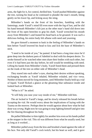arms, the fight for it, for control, thrilled him. Yarulf pushed Milenther against the tree, turning his head as he continued to plunder the man's mouth, biting gently on his lower lip, and licking away the sting.

Milenther's hands on the front of his breeches, fumbling with the fastenings, made Yarulf's mind fill even more with the fog of lust, and he slid his hand beneath Milenther's kilt just as the other man's hand slid down into the front of his open breeches to grip his shaft. Yarulf wrenched his mouth away from Milenther's and leaned his head back as he groaned. It was such a delicious feeling, his entire body felt aflame with need and yearning.

He gave himself a moment to bask in the feeling of Milenther's hands on him before Yarulf lowered his head to kiss and lick the base of Milenther's neck.

"I need to be inside of you," he panted. It had been a long time since he'd gone deep into the darkest parts of Adethiel to deal with his deepest desire. To stroke himself as he watched other men share their bodies with each other, but even if it had been just the day before, he still would be trembling with need. Lifting his hands from Milenther's body, Yarulf fisted them and pressed them on the trunk of the tree on either side of Milenther's head.

They stared into each other's eyes, sharing their desires without speaking, exchanging breaths as Yarulf inhaled, Milenther exhaled, and vice versa. Neither of them moved for long moments, until Milenther finally held up a vial of liquid. Yarulf flicked a glance at the gleaming blue substance inside and looked back at Milenther.

"What is it?" he asked.

"It will help you ease your way inside of me," Milenther told him.

The air locked in Yarulf's lungs, and he slowly released his breath before accepting the vial. He would worry about the implications of laying with the Tauma on the morrow. Perhaps then he would agonize about how what he had done was *wrong*. Right now he was going to stop fighting himself and give into the fire blazing throughout his body.

He pulled Milenther to him tightly for another kiss even as his hands pulled at the stopper in the vial. This oil was different from what he usually used, but as long as it worked…

Milenther pulled away from the kiss and brushed a hand against the side of his face. Not only did Yarulf's cock twitch, but his heart as well, and it gave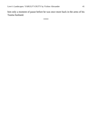him only a moment of pause before he was once more back in the arms of his Tauma husband.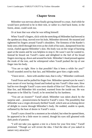## **Chapter Seven**

Milenther was nervous about finally giving himself to a man. And while he would have preferred to be in their tent, or rather in a bed back home, in the forest, alone, could work too.

Or at least that was what he was telling himself.

When Yarulf's fingers, slick with the stretching oil Milenther had brewed in the apothecary shop, moved over his hole, Milenther shivered. He moaned and tightened his fingers around Yarulf's shoulders. The firmness of the Rarder's body sent a thrill through him even as the cloth of his tunic, dampened from his sweat, chafed against Milenther's skin. His body was on the verge of bursting apart at the seams and he was helpless to stop it. He wasn't sure he wanted to. Instead he hissed out Yarulf's name and delighted in the feel of his broad fingers moving up, down and around his hole. Milenther's head pressed against the trunk of the tree, and he whimpered when Yarulf pushed the tip of one finger into his body.

"You are so tight. How is that possible? Has it been a while for you?" Yarulf sounded awed by that fact, and Milenther gave him a tight smile.

"I have never… been with another man, that is why," Milenther confessed.

Yarulf froze and he pulled his finger free. Milenther opened eyes he wasn't even aware of ever having closed and looked up into Yarulf's blue ones. How had he ever thought Yarulf's eyes were shards of blue ice? They blazed with a blue fire, and Milenther felt scorched, warmed from the inside out. He was desperate to be filled by Yarulf, to be stretched by his hardness.

"You are an *inxoten*?" Yarulf asked. Milenther was taken aback by the surprise and… possessiveness he heard in Yarulf's voice. The possibility that Milenther was a virgin obviously thrilled Yarulf, which sent an echoing shiver of delight to course through Milenther's body. He nodded, unable to speak, enflamed by the heat of desire in Yarulf's voice.

Yarulf's eyes closed for a moment as he exhaled, but when he opened them, he appeared to be a little more in control, though his eyes still gleamed with dark pools of passion.

"I will not take you against a tree in a forest for your first time," Yarulf promised. "Though we will revisit the idea. I find the idea of you naked in nature very attractive."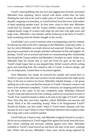Yarulf's hand grabbing onto his own and tugging him forward, prevented Milenther from speaking. Shock warred with desire within him, his body flushing hot and cold as he tried to make sense of Yarulf's actions. He walked dazedly, stepping over branches, as Yarulf led him from the forest with neither of them speaking another word. As they drew closer to their tent, Milenther could hear his brothers and the Tauma soldiers sharing tawdry stories and singing bawdy songs of women with large tits and men with tight asses and huge cocks. Milenther's face flamed, and he looked up at the back of Yarulf's head wondering what the Rarder thought of the revelry.

Yarulf didn't say a word or mention what was happening at the fire, instead, he held up one side of the tent's opening so that Milenther could step within. A fact for which Milenther was both relieved and surprised. Perhaps Yarulf was growing accustomed to his people and their enthusiasm for life and laughter. Or perhaps, Yarulf was so aroused and intent on consummating their relationship that he paid the Tauma soldiers and Milenther's brothers no mind. Either way, Milenther kept his mouth shut as well and fixed his gaze on the back of Yarulf's head, happy that no one stopped them. Relief warred with his aching groin and clenching hole. He wanted to talk to Yarulf, to discuss things, and yet, he desperately wanted them to be joined together.

Once Milenther was inside, he removed his sandals and turned back to Yarulf to watch as the other man sat down on the animal pelts that made up the floor of the tent to remove his boots. Milenther inhaled sharply, a soft groan spilling out as his eyes watched the muscles in Yarulf's forearms constrict and move as he undressed completely. Yarulf continued, not stopping until he knelt on the bed in the center of the tent, completely nude. Milenther followed Yarulf's lead and removed all of his clothing, until he too stood bare in front of Yarulf. Fear caused his hands to shake as he took in the sight of Yarulf's naked form. Now that they were here, together, naked, Milenther was nervous and afraid. What if he did something wrong? What if he disappointed Yarulf? Would the Rarder cast him aside? What if Yarulf hated sleeping with him because he was a man? What if it hurt? Milenther had been told countless times that lying with a man would be painful.

Yarulf held out a hand to him, and Milenther stepped forward to accept it. He let out an exhalation as Yarulf tugged him against his broad, muscled torso, their chests colliding and erections rubbing against each other. Milenther trembled as Yarulf's hand moved up and down the skin of his back, soothing him. While still nervous, Milenther's fears were slowly being replaced by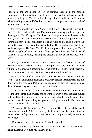excitement and anticipation. A sort of cautious excitement and hesitant anticipation, but it was there, nonetheless. He pushed himself as close as he possibly could get to Yarulf, rubbing his lips along Yarulf's neck. He smiled when Yarulf groaned and lifted his own hands to tangle them in the strands of Yarulf's dark-blue hair.

Milenther lifted his lips from Yarulf's neck and stared up into his husband's gaze. He lifted his lips as if Yarulf's mouth were drawing him in and pressed them against Yarulf's again. This kiss wasn't as punishing as the one in the forest, but it was still infused with passion and desire. Letting his instincts control his movements, Milenther moved up until he straddled Yarulf's lap. Milenther hissed when Yarulf licked and nibbled his way down his neck to his hardened nipples. He fisted Yarulf's hair and pushed his chest up as Yarulf lashed the pebbled nubs, his blunt fingertips back between the globes of Milenther's ass, rubbing, stroking and pressing gently at the entrance to his body.

"O-oh," Milenther breathed. His mind was awash in desire. Tendrils of passion licked at his skin, causing it to turn pink. His ears filled with his own whimpers and moans, a beautiful accompaniment to Yarulf's harsh breathing and deep groans, as he slid his finger deep within Milenther's body.

Milenther felt as if he were falling and realized, only when he felt the softness of the animal furs against his back, that Yarulf had effortlessly laid him down upon the bed. Yarulf's blue eyes gleamed in the firelight that penetrated the tent's covering as he looked down at Milenther.

"You are beautiful," Yarulf whispered. Milenther's eyes burned at the feeling in the other man's words and he wondered why Yarulf sounded almost saddened by what he'd just said. He opened to ask but his words were cut off by the press of Yarulf's fingers upon something deep within his body that caused Milenther's back to arch.

"Yaaaruuulffff," he groaned as Yarulf continued to push against that small, glorious spot within Milenther's body. Milenther fisted the animal furs on either side of his hips as Yarulf continued to send his pleasure skyrocketing to new heights.

"I'm trying to be gentle with you," Yarulf growled.

Milenther looked up and noticed the way the other man's arm trembled as he held himself aloft over Milenther's body.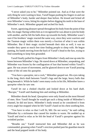"I never asked you to be," Milenther pointed out. And as if that were the only thing he were waiting to hear, Yarulf began pushing his fingers in and out of Milenther's body, harder and deeper than before. He kissed and licked all over Milenther's torso, biting his nipples before digging his teeth in the base of Milenther's neck. Milenther gasped and arched his back.

Sweet, agonizing pleasure spread throughout his body from the point of that bite, his magic flaring within him as it recognized he was about to join his body with another, and he felt his balls draw up towards his body. Milenther wasn't sure if his brothers' magic reacted the same way, since they were warriors and the Tauman magic within them was merely a fraction of what it was within Milenther. But if their magic sizzled beneath their skin as well, it was no wonder they spent so much free time finding people to sleep with. He began panting, his hands moving from the back of Yarulf's head to the furs, trying to find something to keep him grounded.

Yarulf finally pulled his fingers from Milenther's body and rose up onto his knees between Milenther's legs. He stared down at Milenther, unspeaking, and Milenther was frozen by the conflagration of lust that burned within Yarulf's gaze. He was aware of movement, and he glanced down to see Yarulf pouring some of the oil onto his *quoxpine*.

"You have a *quoxpine*, not a cock," Milenther gasped out. His eyes taking in the long, thick shaft between Yarulf's legs and the large, heavy balls that hung beneath it. While he hadn't seen many cocks in his life, Milenther knew a *quoxpine* when he saw one.

Yarulf let out a choked chuckle and looked down at his hard shaft. "*Rucopa*," Yarulf said thanking him and smiling at Milenther.

Milenther shook his head. *Quoxpines* were only found on the most blessed of men. How Yarulf thought he would get such a thing inside of Milenther's channel, he did not know. Milenther's body tensed as he considered it from every angle but stopped when he felt Yarulf's hand on his chest soothing him.

"You have to relax so that I will fit, Mil. Do not worry," he said calling Milenther by a nickname that caused his insides to warm. He nodded up at Yarulf and tried to relax as he felt the head of Yarulf's *quoxpine* against his wrinkled pucker.

"Breathe out," Yarulf instructed him and Milenther did as he was commanded, groaning when Yarulf's erection pushed past his guardian muscle and the head popped inside of his body.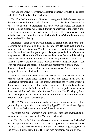"Oh Shadita Lyra, preserve me," Milenther groaned, praying to the goddess, as he took Yarulf fully within his body.

Yarulf pushed himself into Milenther's passage until his balls rested against the curve of Milenther's ass and Milenther pressed his head into the furs he lay on. He felt so full, so incredible, that there were no words. He groaned, whimpered and pleaded with Yarulf, though he wasn't sure for what. Yarulf seemed to know what he needed, however, for he pulled his hips back until only the head of his *quoxpine* remained within Milenther's body, before sliding back inside of him deeply.

Milenther reached up to bury his fingers in Yarulf's hair and yanked the other man down to him, taking his lips in a hard kiss. He could taste blood and wondered if it was his own or Yarulf's, though even that thought was driven from his mind as Yarulf began to grind his hips against Milenther's own for long moments. The sounds of his brothers and the other Tauma soldiers sitting around the campfire outside, dozens of feet away became a hazy buzz as Milenther's ears were filled with the sound of harsh breathing and groans. Soon even his breathing and moans, a mellifluous harmony to Yarulf's own, were drowned out by the sound of skin slapping against skin as Yarulf slammed his *quoxpine* in and out of Milenther's chute.

Milenther's eyes flooded with tears as bliss snatched him beneath the tide of passion. When Yarulf lifted Milenther's legs and placed them over his shoulders, Milenther let loose a loud groan. Clear fluid, the evidence of his own desire, leaked from the head of Milenther's own cock onto his belly, and since his body was practically folded in half, the fluid created a puddle that streamed down towards his neck. He ran his fingers down over Yarulf's slightly hairy chest, feeling the muscles there, his fingertips tingling at the sensation and the proof of Yarulf's power and strength.

"O-oh!" Milenther's mouth opened as a tingling began at the base of his spine racing throughout his entire body. He gripped Yarulf's shoulders, digging his nails in the flesh there as fire spread through his veins.

"Give it to me, Mil. I want it," Yarulf growled as hips sped up, thrusting his *quoxpine* deeper and faster within Milenther's channel.

At Yarulf's words, Milenther released a shout to the heavens as the head of his cock spurt volley after volley of his seed through the air to land on his torso and even up onto his cheek. Milenther felt as if he were soaring through the air and dying all at the same time. His heart was pounding, his mind wiped of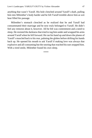anything that wasn't Yarulf. His hole clenched around Yarulf's shaft, pulling him into Milenther's body harder and he felt Yarulf tremble above him as wet heat filled his passage.

Milenther's stomach clenched as he realized that he and Yarulf had consummated their marriage and he now truly belonged to Yarulf. He didn't feel any remorse about it, however. All he felt was contentment and a need to sleep. He resisted the darkness that tried to tug him under and wrapped his arms around Yarulf when he fell forward. He ran his hand up and down the planes of Yarulf's muscled back to his rear, palming the globes before drifting his hands back up. He opened his mouth to ask Yarulf if making love was always that explosive and all-consuming but the snoring that reached his ears stopped him. With a tired smile, Milenther found his own sleep.

\*\*\*\*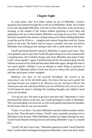#### **Chapter Eight**

At some point, after he'd fallen asleep on top of Milenther, Yarulf's *quoxpine* had softened enough that it slid out of Milenther's body. He'd rolled to his side and pulled Milenther with him so that when they woke up the next morning, to the sounds of the Tauma soldiers growling at each other and splashing in the sea as they bathed, Milenther was lying on top of him. Yarulf had been stunned by the almost crushing embrace he'd been holding Milenther in and the way he'd felt so… complete and content lying there with the Tauma prince in his arms. He hadn't had too long to consider why that was before Milenther was waking up and staring at him with a small smile on his face.

Yarulf had found himself snared by Milenther's purple-eyed stare. They were guileless and so open that Yarulf felt guilt eating away at his stomach like a snarling beast. He'd inhaled sharply and when Milenther had asked if they could "come together" again, Yarulf had shoved the vile emotion deep into the farthest recesses of his mind and had taken Milenther again, though this time it was much gentler. Perhaps it was an attempt to make things as pleasant as possible for Milenther before Yarulf was forced to betray him and his people and then participate in their slaughter.

*Whatever you have to tell yourself Yarulfsian*. He winced at his conscience's use of his full birth name. *You know that you were gentle this morning because you* wanted *to be. Because you are starting to fall for the Tauma you married, and if you believe you can still betray him, you are a fool*. Yarulf shook his head to dislodge the troubling thoughts and rubbed a hand across his forehead.

"Get up you two. We need to get back onto the road," Reprimuric's voice penetrated the silence of the tent, and Yarulf attempted to smile at Milenther. The concerned glance he received, as well as the gentle hand upon his shoulder, let him know that he was not successful.

"Come. Let us dress," he said to Milenther and rose without another word to do just that. They dressed in silence, Yarulf's eyes constantly straying over to Milenther as he dressed. When Milenther pushed his fingers through his hair, Yarulf found himself striding forward and taking Milenther's lips in a heated kiss.

"Yarulf. We don't have time," Milenther panted out when Yarulf lifted his head. Yarulf smiled and began kissing down Milenther's jaw to his neck, desire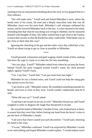snarling in his ear and passion breathing down his neck as lust gripped him in a firm embrace.

"We will make time," Yarulf said and licked Milenther's neck, where the heady taste of his sweat, his seed and a deeply masculine taste that was all Milenther, burst over his taste buds. Milenther's soft whimper enflamed his senses, and he lowered Milenther back to the furs. A voice shouted in his mind, reminding him that what he was doing was wrong in Adethiel, but he reassured himself with thoughts of duty. His father wanted him to get close to the Tauma, to learn their secrets so that the Rarderian army could strike. What better way to get close to them than this way?

Ignoring the clenching in his gut and the softer voice that called him a liar, Yarulf set about trying to get as close as possible to Milenther.

\*\*\*\*

Yarulf groaned, exhaustion and guilt waging a battle inside of him, making him have the urge to vomit or to slam his fist into something.

"Are you okay, Yarulf?" Milenther asked from where he sat atop the horse behind Yarulf, his arms wrapped around Yarulf's waist, his chest pressed tightly against Yarulf's back.

"Yes. I am fine," Yarulf lied. "I am just tired from last night."

Milenther let out a choked noise, and Yarulf could not help the smug grin that spread across his face.

"I am tired as well," Milenther stated. He mumbled something beneath his breath, and even as close as they were, Yarulf couldn't understand what he'd said.

"What did you say?" Yarulf asked.

"I said that I am in pain in my ass as well," Milenther hissed out, and Yarulf coughed in order to disguise the laugh that threatened to escape.

He waved his hand at Milenther's brother Evien, who looked back at them, to assure him they were fine, before freeing one hand from the horse's reins to pat the back of Milenther's hands.

"I am sorry that I have caused you such discomfort," Yarulf said, returning his hand to the reins.

"I'm not," Milenther confessed. Yarulf was surprised by Milenther's words so he said nothing and hoped Milenther would explain. "I would endure much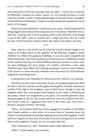more discomfort to feel you moving within me again." Yarulf was so shocked by Milenther's honesty he couldn't speak. So, even though he knew it would cause his already twisted, complicated thoughts to become further entangled, Yarulf lifted one of Milenther's hands to his lips and placed a gentle kiss on the backs of his fingers.

When he lowered Milenther's hand back to his waist, Yarulf found himself being hugged and swallowed the lump that rose in his throat. Milenther was so innocent, so giving, and Yarulf was going to betray him. Because, even though a part of him didn't want to, another part, a larger part knew that he would because Yarulf had been raised to follow the orders of his father, the king.

\*\*\*\*

They came to a stop on the top of a hill and Yarulf's breath caught in his lungs as he looked down on the splendor of the Nerandra kingdom. While Adethiel was filled with gorgeous buildings, it was also quite congested and filled with people. The roads had been paved and were now cobblestone instead of dirt, and the trees that once filled Adethiel had been cut down to make room for more buildings and more people. He couldn't remember a time when Adethiel hadn't been filled with buildings and people, however, and wondered if the stories of a more beautiful Adethiel were told merely by old Rarderians longing for something more.

Looking down into Nerandra he realized just how much he was missing.

Nerandra was lush. Filled with trees, flowers, and gorgeous plants that lined the sides of the dirt road that ran throughout the kingdom. Animals loitered just outside of the edge of the kingdom, some of them brave enough to enter the kingdom where they were treated with kindness. In the center of Nerandra sat the palace, which was magnificent in its glory. The outside gleamed white, shining brightly in the sun, the turrets, and roofs were all a brilliant dark lilac, and Yarulf could see a gorgeous blue pool in the center that, even from a distance, looked extremely refreshing.

"Wow," he breathed. While he'd been engaged in a number of skirmishes with Tauma soldiers or their allies, he'd never been to Nerandra since the Tauma were determined to keep their fighting away from their kingdom. Yarulf had never figured out how they'd been able to do such a thing, but as he looked down at the kingdom's beauty, he was very glad they had.

"She's beautiful isn't she?" Milenther asked softly behind him.

"Who?" Yarulf replied, just as quietly.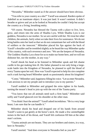"Nerandra," Milenther stated as if the answer should have been obvious.

"You refer to your country as a she?" Yarulf was amazed. Rarders spoke of Adethiel as an inanimate object. It was just land. It wasn't sentient. It didn't breathe or grieve and yet as he looked at Nerandra he couldn't help but accept the country as a living, breathing entity.

"Of course. Nerandra has blessed the Tauma with a place to live, love, grow, and return into the arms of Shadita Lyra. While Shadita Lyra is our goddess, Nerandra is our mother. So we are careful with her. We treat her other children, the animals, fairly when we take their lives for sustenance. We do not bring battles onto her land so that we do not contaminate her soil with the blood of soldiers or the innocent." Milenther placed his lips against the back of Yarulf's shoulder and he trembled slightly as he heard the way Milenther spoke of his country, with such reverence and awe. "We are the keepers of Nerandra. The Goddess Shadita Lyra chose for us to make our home here, and we will not dishonor her, nor the mother, in any way."

Yarulf shook his head as he listened to Milenther speak and felt shame curdle in his gut making him ill. His father planned to not only bring a largescale battle into the Kingdom of Nerandra, he planned to spill the blood of every Tauma upon her soil. How was Yarulf expected to help his sire complete such a task having heard Milenther speak so passionately about his kingdom?

"Come," Milenther said, happiness filling his voice. "Let us enter Nerandra. I am anxious to see my people and to introduce you to my parents."

Yarulf nodded to Milenther and gripped the reins tighter in his hands, turning the mount's head to join up with the rest of the Tauma party.

"You know that not all animals need such a firm hand," Milenther said softly and Yarulf glanced over his shoulder at the other man.

"You think I hurt the animal?" Yarulf asked incredulous. "He is a very large beast; I am sure that he can handle it."

Milenther shook his head and dropped one of his hands from around Yarulf's waist to pat gently at the horse's neck. He made a few unintelligible noises in the back of his throat, and Yarulf felt confusion fill him at the other man's actions.

"Tauma animals are not beasts. They are our brothers and sisters, in a way, here in Nerandra."

Yarulf snorted. "And does everyone in Nerandra feel as you do?"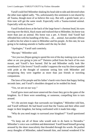Yarulf could feel Milenther shaking his head side to side and shivered when the other man sighed sadly. "No, unfortunately this sentiment is not shared by all Tauma, though most of us believe this way. But still, a gentle hand, yet a firm tone will get the same result. Especially with a Tauma-trained animal. Especially with my horse."

Yarulf looked down at the back of the large horse's chestnut head, his eyes moving over the thick, black mane and realized that to Milenther, his horse was more than just an animal. His horse was a pet. A friend. And Yarulf had offended him with his handling of the bea… uh… animal. Just another offense to add to his list when it came to Milenther and his people. At this rate, he was going to be making amends to Sadita until the day he died.

"Apologies," Yarulf said contritely.

"*Rucopa*," Milenther said.

"Are you two *filepas* going to spend the rest of the day making eyes at each other or are you going to join us?" Daimiro yelled from the back of his own mount, and Yarulf's face burned. Did he and Milenther really look like sweethearts? Like lovers? Yarulf couldn't suppress the way his chest expanded with pride at the thought of someone seeing him with Milenther and recognizing they were together as more than just friends or traveling companions.

The laws of his people and his father's harsh voice burst that happy feeling seconds later, and Yarulf's shoulders dropped as he nodded his head.

"Yes, we are on our way."

Yarulf grew more and more unnerved the closer they got to the gates of the kingdom. As if there were something, or someone, compelling him to turn around.

"It's the ancient magic that surrounds our kingdom," Milenther told him, and Yarulf stiffened. He had heard word that the Tauma and their allies used magic in their kingdom, but being confronted with it made him edgy.

"Why do you need magic to surround your kingdom?" Yarulf questioned him.

"To keep out all of those who would seek to do harm to Nerandra." Milenther's voice was confident and determined. Yarulf found himself growing aroused by the sheer masculinity that threaded through his words. He pushed away thoughts of Milenther, naked beneath him, and instead wondered if he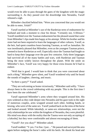would even be able to pass through the gates of the kingdom with the magic surrounding it. As they passed over the drawbridge into Nerandra, Yarulf released a sigh.

Milenther chuckled behind him. "Were you concerned that you would not be able to enter, *Yeluh*?"

Yarulf startled at Milenther's use of the Rarderian term of endearment for husband and took a moment to clear his throat. "Certainly not, *S-Shinaw*." Yarulf stumbled over the Tauman endearment but the pleased sound that came from Milenther's lips made him happy at his attempt. While his brother and his sister had not been required to learn the languages of other cultures, Yarulf, as the heir, had spent countless hours learning Tauman, as well as Jamudian. He was inordinately pleased that Milenther, even as the youngest Tauman prince, seemed to know Rarderian as well. Especially since the Tauman had fought so hard to keep their language over the past few centuries. Only three languages had survived all of the many battles and wars, with Rarderian and Tauman being the most widely known throughout the planet. With the smile on Milenther's face, Yarulf was very happy for those extra lessons he'd had to endure.

"Well that is good. I would hate to think that you were concerned about such a thing." Milenther grew silent, and Yarulf wondered why until he heard the sounds of laughter, cheering, and music.

"Is there a party?" Yarulf asked.

"They are welcoming us home victoriously," Milenther said softly. "I have always been in the crowd celebrating with my people. This is the first time I have been the one celebrated."

Yarulf squeezed Milenther's arms where they wrapped around him. His eyes widened as they rode deeper into Nerandra and his gaze took in the sight of numerous couples, arms wrapped around each other, holding hands, or kissing, who were of the same sex. Yarulf yanked back on the reins of the horse and looked around. While *lukoshefs*, or same-sex relationships, were not the only relationships he saw within the kingdom of Nerandra, they were plentiful. His mind was abuzz with the reality that the Tauma were not only accepting of a *lukoshef*, but they were comfortable and almost encouraging of them.

"Yarulf? Are you okay?" Milenther asked.

Yarulf nodded. "Y-yes. I'm fine. I just…" He paused and surveyed the area again before nudging the horse's sides with his heels. He shook his head and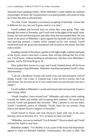refrained from speaking further. When Milenther's hand rubbed his stomach reassuringly, he knew the Tauman prince was quite possibly well aware of what he'd seen that had so affected him.

"It is fine, *Yeluh*. Nerandra is extremely accepting of *lukoshefs*. I know this is different for you, but you'll grow used to it in time."

Yarulf nodded and focused back on where they were going. They rode through the streets of Nerandra, and Yarulf took in the sights of the small, rustic homes, the lush and thriving trees and other flora that surrounded them. He was aware of the press of Milenther's groin against his backside and could feel the man growing aroused, a matter which ramped up his own arousal. Yarulf swallowed back the groan that threatened and focused on the palace that they rode towards.

Standing outside of the palace, garbed in the lightweight, sophisticated garb of the royals, stood a man and a woman, their red hair shining like fire in the sun. Yarulf knew, without needing an introduction, that they were Milenther's parents, and he felt himself grow ill.

They pulled their horses to a stop, and Yarulf climbed down off the horse before turning to help Milenther. Milenther chuckled and patted Yarulf's chest, affectionately.

"I am not a Rarderian woman who needs your care and assistance with all things, Yarulf. I am a man. A Tauman man. I may not be a warrior, but I am still all man. Do not treat me as if I am weaker than you just because I am not a soldier."

Yarulf nodded at Milenther's words and turned when he heard the Tauma's name being called.

"*Onod*! *Omafwe*! I have missed you!" Milenther said with a smile rushing towards his father and mother and accepting their embrace. He turned back towards Yarulf and gestured him forwards. "May I present to you my *kukis*, Yarulf Cossoberth, prince of Adethiel. Yarulf, these are my parents, King Fiacus and Queen Dravica Dagorn of Nerandra."

Yarulf bowed to Fiacus and took Dravica's hand with one of his own, placing a kiss on the back of it. "It is an honor to meet you both."

"Milenther, you are m-married? To a R-Rarder?" Dravica asked, and Yarulf released her hand to step back.

Milenther nodded. "Yes Mother, it was a part of the treaty that Reprimuric agreed to when we defeated Adethiel. Unfortunately, the sister is *ohfo*. She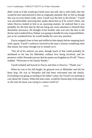didn't look as if she would give birth soon, but still, she is with child, else she would be here and married to him as originally planned. But we felt as though this was an even better trade, since Yarulf was the heir to the throne." Yarulf was uncomfortable, knowing they spoke about him as if he weren't there, but when Dravica looked at him in an assessing manner, he realized that it was probably for the best that he did not bring any more attention to himself than absolutely necessary. He thought of his brother who was now the heir to the throne and wondered how Dubair was going to handle his new responsibilities, just as he wondered how he would handle his own new position.

Fiacus stepped close to him and sniffed at him deeply before stepping back with a grunt. Yarulf's eyebrows lowered at the man's actions wondering what that meant, but smart enough not to remark on it.

"Not all of his motives are pure, though much of that could probably be attributed to his lust for Milenther without love being involved, and his presence within Nerandra proves that he means our kingdom no ill will." Fiacus nodded. "Welcome to the family Rarder."

Yarulf exhaled and bowed to Fiacus and then to Dravica. "Thank you."

When he rose to his full height, he glanced over at Milenther and felt his heart leap. He was in Nerandra and had been welcomed into the family. Everything was going according to his father's plan, but Yarulf was starting to care about the Tauma. When the time came, would he choose duty to his people or the man his heart was trying to connect itself to?

\*\*\*\*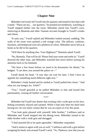## **Chapter Nine**

Milenther nervously led Yarulf into his quarters and turned to face him with a smile. "These are my… our quarters," he pointed out needlessly, watching as Yarulf stepped further into the room. Milenther stared into Yarulf's eyes, unmoving as Biumula and other Tauman servants brought in Yarulf's trunks and chests.

"It suits you," Yarulf replied and Milenther looked around, nodding. The walls of the room were painted a soft orange color. The pillows, cushions, furniture, and bedspread were all a plethora of colors. Milenther never felt as at home as he did in his quarters.

"Will there be anything else, Your Highness?" Biumula asked Yarulf.

"No, Biumula. That will be all. Please find your room and settle in," Yarulf directed the other man, and Milenther watched him leave before turning his attention back to his husband.

"We have a few hours before we need to be downstairs for dinner," he hedged. "I can show you around the palace or—"

Yarulf shook his head. "A tour that can wait for later. I find I have an appetite for something much different right now."

Milenther's body heated and he smiled as Yarulf pulled him closer. "And what are you hungry for, *Yeluh*?"

"You." Yarulf growled as he pulled Milenther to him and kissed him passionately, ceasing all further conversation.

\*\*\*\*

Milenther led Yarulf into dinner that evening with a wide grin on his face, feeling extremely relaxed and satiated. While it had only been his third time having sex, he was fairly certain that he was an expert at it by this point.

"You look quite pleased with yourself, little brother," Catillawn said as Milenther and Yarulf stepped into the dining room. Milenther turned to his older brother with a wide grin and shrugged.

"I find married life to be quite agreeable," Milenther responded.

"And it seems to agree with you as well," Catillawn said with a grin before wrapping his beefy arm around Yarulf's neck. "So, *Thykuwu*, now that you are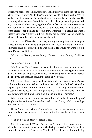officially a part of the family, tomorrow I shall take you out to the stables and let you choose a horse." Milenther's chest swelled at Catillawn's calling Yarulf by the term of endearment for brother-in-law. He knew that his family would be accepting when it came to Yarulf, but he could only hope that things went both ways. He sensed a hesitation, a guilt, on his husband's part, and it concerned him. For once he wished his magic was a little more precise, like that of a few of the elders. Then perhaps he would know what troubled Yarulf. He wasn't exactly sure why Yarulf would feel guilty, but he knew that he would do whatever he could to help the man ease that guilt.

"*Seken*." Yarulf bowed to Catillawn, pushing and wiggling in an attempt to escape the tight hold. Milenther grinned. He knew how tight Catillawn's embraces could be, even when he was teasing. He would not want to be in Yarulf's place right then.

"Come now, Rarder, we are family. No need to be so formal," Catillawn said.

"Apologies," Yarulf replied.

"Catil, leave Yarulf alone. I'm sure that he is not used to our ways," Milenther's mother said as she breezed into the room, her blue gown made of *fukoye* material swirling around her legs. "We must give him a chance to settle in. Then you can toss him around the room all you want."

Milenther tried not to laugh out loud at the wide-eyed look on Yarulf's face at his mother's words. When Catillawn released Yarulf's head, Milenther stepped up to Yarulf and touched his arm. "She's teasing," he reassured his husband. He chuckled at Yarulf's sigh of relief. "She would never let Catillawn toss you around the dining room. She'd make him take it outside."

When Yarulf twisted around to look at him, Milenther let out a laugh of delight and leaned forward to kiss his cheek. "Calm down, *Yeluh*. You will get used to us in time. I promise."

He led Yarulf over to the large dining room table that was surrounded by his entire family and sat down on a pillow, gesturing for Yarulf to sit down next to him.

"You do not sit in chairs?" Yarulf asked.

Milenther shrugged. "Why? This way we're much closer to each other." Milenther demonstrated what he meant by laying his head on Yarulf's shoulder. He tried not to take offense when Yarulf stiffened beneath him, reminding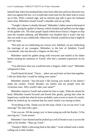himself that where his husband had come from affection and love between two men was against the law, so it would take some time for the other man to warm up to him. With a mental sigh, and an internal pep talk to give his husband some time, Milenther kissed Yarulf's shoulder and sat up fully.

"Tonight's dinner is doubly blessed," Milenther's father stood at the head of the table, raising his goblet of *ekanan*, which sloshed and spilled over the edges of the golden rim. The dark purple liquid rolled down Fiacus's fingers to drip onto the wooden tabletop, and Milenther was thankful that it wasn't the day they set aside to use a tablecloth. Otherwise, Pertink would have had a slight fit over the stain.

"Not only are we celebrating our victory over Adethiel, we are celebrating the marriage of our youngest, Milenther, to the heir of Adethiel, Yarulf Cossoberth, who has become a Dagorn on this day."

Milenther raised his goblet along with everyone and smiled at his father before turning his attention to Yarulf, who had a stunned expression on his face.

"You did know that you would become a Dagorn, didn't you?" Milenther whispered to him.

Yarulf shook his head. "I have… *taken* you each time we have lain together. I did not think that I would be taking your name."

Milenther snorted. "Just because I like having you inside of me doesn't make me weaker, Yarulf. Besides, my family and my people were the victorious ones. Why would I take your name?"

Milenther stared at Yarulf and waited for him to reply. When he shook his head, Milenther leaned forward and kissed him gently, giving him what he hoped was a smile but what he knew probably came across as more of a smirk. When he looked up, he realized that his entire family was staring at them.

"Everything is fine. Thank you for the toast, *Onod*. Can we eat now? I am starving!" He said with a grin.

"I bet you are. All the energy you've been using up with the Rarder, I'd be starving too," Grote teased.

Milenther's face flamed and he picked up a roll of bread to toss it across the table at his brother. "Shut up, Grote."

"*Omafwe*! Milly is throwing food at the table," Grote whined with a smile, calling out to their mother.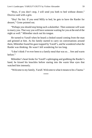"Boys, if you don't stop, I will send you both to bed without dinner," Dravica said with a grin.

"Hey! No fair. If you send Milly to bed, he gets to have the Rarder for dessert," Grote pointed out.

"Perhaps you should stop being such a *dulanthar.* Then someone will want to marry you. That way you will have someone waiting for you at the end of the night as well." Milenther stuck out his tongue.

He turned to Yarulf when he heard a choked sound coming from the man and grinned at him. As his family started to carry on conversations around them, Milenther found his gaze trapped by Yarulf's, and he wondered what the Rarder was thinking. He wasn't left wondering for too long.

"I don't think I've ever been to a family meal that was so… free and warm before."

Milenther's heart broke for Yarulf's upbringing and grabbing the Rarder's hand, he kissed his knuckles before staring into the warm blue eyes that watched him intensely.

"Welcome to my family, Yarulf. Welcome to what it means to be a Tauma."

\*\*\*\*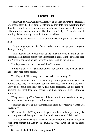## **Chapter Ten**

Yarulf walked with Catillawn, Daimiro, and Silain towards the stables, a few weeks after that first dinner, listening as they told him everything they thought he would need to know about being married to a prince of Nerandra. "There are fourteen members of The Rangers of Tahyrst," Daimiro stated, rubbing his hands along the neck of a black stallion.

"The Rangers of Tahyrst?" Yarulf questioned looking over at the red-haired man.

"They are a group of special Tauma soldiers whose sole purpose is to guard the royal family."

Yarulf nodded and looked back at the horse he stood in front of. The chestnut gelding stared at him with an implacable gaze, as if he could see deep into Yarulf's soul, and he had the urge to confess all to the animal.

"So they were with us on the road then?" he asked.

"Some of them were," Silain remarked. "We couldn't take them all. Some had to stay here at the palace."

Yarulf agreed. "How long does it take to become a ranger?"

Daimiro chuckled. "If you ask them, they will tell you that they have been training since they were children, but they are chosen from among the army. They do not train especially for it. The most dedicated, the strongest, the quickest, the most loyal are chosen, and then they are given additional training."

"They have to sign The Covenant of the Arcane Arrow in order to actually become part of The Rangers," Catillawn stated.

Yarulf looked over at the other man and lifted his eyebrows. "There is a covenant?"

"Of course there is! They must pledge themselves to the royal family. To our safety and well-being until they draw their last breath," Silain said.

Yarulf looked between the three men and waited for one of them to recite it but neither of them did. He burst into laughter. "Well? Aren't one of you going to say it?"

Daimiro blushed. "I don't actually know it."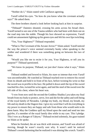"Neither do I," Silain stated with Catillawn agreeing.

Yarulf rolled his eyes. "So how do you know what the covenant actually says?" He asked them.

The three brothers shared a look before looking back at him in surprise.

"Thibaud!" Daimiro shouted, crossing his arms across his broad chest. Yarulf turned to see one of the Tauma soldiers who had been with them out on the road step into the stable. Though his face showed no expression, Yarulf could see amusement lighting up his green eyes and felt his own lips twitching.

"Yes, Your Highness?" Thibaud responded.

"What is The Covenant of the Arcane Arrow?" Silain asked. Yarulf noticed the way the prince's voice seemed extremely husky when speaking to the soldier and wondered if there was something going on between the two of them.

"Would you like me to recite it for you, Your Highness, or tell you its purpose?" Thibaud questioned.

"We know its purpose, Thibaud, we just don't know what it says," Silain said.

Thibaud nodded and bowed to Silain, his stare so intense that even Yarulf was uncomfortable. He watched as Thibaud reached over to remove his sword from its sheath and hold it in front of his face, before twisting his wrist so that the sword was in profile to his face. He pulled it down until the tip of the sword touched his chin, twisted his wrist again, and laid the steel of the sword over the left side of his chest, where his heart was.

"I vow from now until the second the Goddess Shadita Lyra takes my final breath from my body to protect, serve, live and die for the safety and well-being of the royal family of Nerandra. I pledge my body, my blood, my breath, my life and my death to the Dagorn line. I give my word that I will do everything in my power to ensure they are happy and safe from those who would seek to do them harm. May the Goddess spill my blood upon the sand and send me into *gejirbo*, if a member of the royal family dies while in my care. This I pledge. This I vow as a Ranger of Tahyrst," Thibaud recited solemnly, his gaze trained on Silain as he spoke.

When he finished, the air was thick with tension, and Yarulf was afraid of moving, though he wasn't exactly sure why. It wasn't until he noticed Thibaud's sword darkening that he realized it was shining like a torch. Yarulf's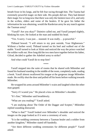breath froze in his lungs, and he felt fear racing through him. The Tauma had extremely powerful magic on their side. His people did not. They had denied their magic for so long now that there was only the faintest trace of it, and only in the scribes, elders and some of the healers. If he gave his father the information he was obtaining, would the Rarderian army be any match against the Tauman army?

"Yarulf? Are you okay?" Daimiro called out, and Yarulf jumped slightly, blinking his eyes. He looked at the man and nodded his head.

"Yes. S-sorry. I was just… stunned. It was really… p-powerful."

Thibaud bowed. "I will return to my post outside, Your Highnesses." Without a further word, Thibaud turned on his heel and walked out of the stable. Yarulf turned to look at Silain and noticed the way the prince watched the soldier walk out. How long did the two men have together before his father, Gilrad, decided to gather the Adethiel army to strike?

And what could Yarulf do to stop him?

\*\*\*\*

Yarulf stepped into the suite of rooms that he shared with Milenther and found his husband standing in the middle of the room, completely nude, reading a book. Yarulf almost swallowed his tongue at the gorgeous image Milenther made. He swiftly shut the door and pulled off his boots before walking towards Milenther.

He wrapped his arms around Milenther's waist and laughed when the other man gasped.

"Sorry if I scared you." He placed a kiss on Milenther's shoulder.

"It's fine," Milenther said breathlessly.

"What are you reading?" Yarulf asked.

"I am studying about The Order of the Dagger and Scepter," Milenther replied sounding distracted.

"What is that?" Yarulf looked over Milenther's shoulder and noticed the images on the page looked as if it were a ceremony of sorts.

"It is the wedding ceremony between a Tauman healer and a soldier from another kingdom," Milenther stated off-handedly.

"Are there different wedding ceremonies for different people?" Yarulf asked.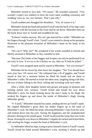Milenther turned to face him. "Of course." He sounded surprised. "You wouldn't expect two soldiers to have the exact same wedding ceremony and wedding vows as, say, two farmers. That's just silly."

Yarulf nodded and shrugged his shoulders. "Yes, of course it is."

Milenther shook his head and pushed Yarulf until the back of his legs came into contact with the loveseat in the room and he sat down. Milenther then set the book down next to Yarulf and straddled his lap.

"It doesn't matter anyway. We can't get married for a while." Milenther ran his fingers through Yarulf's hair. Yarulf's eyes started to droop as his *quoxpine* thickened at the pleasant sensation of Milenther's hand on his head, in his tresses.

"We can't? Why not?" He wondered if his words sounded as slurred and thickly aroused to Milenther as they sounded to him.

"Because The Order of the Dagger and Scepter can only be performed if we are truly in love. If we try to do it before we are, then we'll both be killed."

Yarulf's eyes snapped open and he stared at Milenther. "Are you serious?"

Milenther bit his lower lip, then burst into laughter. "No! You should have seen your face. Of course not." He collapsed into a fit of giggles, and Yarulf stared at him for a moment before he lifted his hands and set them to Milenther's sides. He started to tickle the other man, laughing along with him, the two of them falling to the floor, rolling and wrestling with each other.

After a while, their laughter turned into groans and gasps of pleasure and tickling turned into caresses. Yarulf licked and kissed his way down Milenther's neck, his hand stroking down the man's body to his thigh. He stroked his fingers up and down the inside of Milenther's thigh, kissing Milenther gently.

"Y-Yarulf," Milenther moaned his name, sending shivers up Yarulf's spine. He cupped Milenther's groin then ran tender fingers up to the head of Milenther's cock. He lifted his head, releasing Milenther's lips from his own, and looked down into his eyes. Seeing the happiness and the unadulterated pleasure shining in his purple gaze, Yarulf swallowed the lump that rose in his throat. Kissing his way down to Milenther's nipples he sucked and licked them, still swirling his finger around the head of Milenther's cock.

As Milenther lifted his hips, trying to press himself closer to Yarulf's touch, Yarulf closed his hand around Milenther's cock, stroking it slowly up and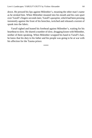down. He pressed his lips against Milenther's, moaning the other man's name as he stroked him. When Milenther moaned into his mouth and his cum spurt over Yarulf's fingers seconds later, Yarulf's *quoxpine*, which had been pressing insistently against the front of his breeches, twitched and released a torrent of spunk into the fabric.

Yarulf sighed and leaned his forehead against Milenther's, waiting for his heartbeat to slow. He shared a number of slow, drugging kisses with Milenther, neither of them speaking. When Milenther wrapped his hand in Yarulf's hair, he knew that his duty to his father and his people was going to be at war with his affection for the Tauma prince.

\*\*\*\*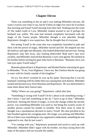#### **Chapter Eleven**

There was something in the air and it was making Milenther nervous. He wasn't exactly sure what it was, but he'd been on edge ever since he'd awoken that morning and found Yarulf missing from their bed. Walking into the room of The Jaded Guild of Lyra, Milenther looked around to see if perhaps his husband was within. The man had seemed completely fascinated with the magic of the Tauma people. Milenther thought it was adorable, though Reprimuric thought it was suspicious. But he thought that of everyone.

Not seeing Yarulf in the room that was completely furnished in jade and thick with the power of magic, Milenther turned and left. He stepped out into the hallway and right into Biumula, who looked disheveled and nervous. Seeing Reprimuric only feet away, also looking disheveled. Both men's lips were swollen, and Milenther noticed that Biumula's eyes were glazed. He smirked at his brother before turning his gaze fully back to Biumula. "Biumula, have you laid eyes upon Yarulf today?"

Biumula glanced back at Reprimuric and blushed before returning his gaze to Milenther. "N-no, Your Highness. I have not. But I believe that he was going to meet with his family outside of the kingdom."

An icy, hot shiver wormed its way up his spine. Knowing that it was his husband's meeting with his father that was causing him such distress, Milenther turned and hurried away from Biumula and Reprimuric. He was determined to tease them about their liaison later.

"Milly! Where are you going?" Reprimuric called after him.

"Something is wrong with Yarulf! Or he's about to do something wrong. I don't know. I just feel something in the air. I have to go to him," Milenther fired back. Sensing the thrum of magic, or even the change within the ancient power, was something Milenther was used to, but being this acutely aware of another person caused his insides to tremble. Was there more to what he thought was a spontaneous decision to marry Yarulf. His skin prickled as his hair brushed against his swinging arms. His magic was pulsing and Milenther felt as if there was something he was supposed to understand, something he was supposed to see, that he just wasn't.

"I'm coming with you," Reprimuric promised and raced to catch up with Milenther. Milenther didn't argue with his brother, too busy racing down the steps of the palace and out towards the stables.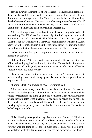He was aware of the members of The Rangers of Tahyrst running alongside them, but he paid them no heed. There was a driving force inside of him, thrumming, screaming at him to find Yarulf, save him, before he did something they both regretted forever. He didn't know what was going on between Yarulf and his father, but he knew that whenever they had discussed Yarulf's father, Yarulf's face had leeched of all color and he appeared ill.

Milenther had questioned him about it more than once, only to be told that it was nothing. Yarulf had told him it was only him thinking about how much different his life could have been had his father not ordered their marriage. But Milenther had always known that there was something more to it than that. And now? Now, there was a knot in the pit of his stomach that was growing tighter and telling him that his husband was in danger and didn't even realize it.

"What is the Rarder up to?" Reprimuric asked as they waited for their horses to be saddled.

"I do not know," Milenther replied, quickly twisting his hair up at the nape of his neck and tying it off with a strip of leather. He watched as Reprimuric did the same and smiled, sadly when Biumula raced out after them and headed straight towards his older brother.

"I am not sure what is going on, but please be careful," Biumula panted out, before looking around and lifting up on his toes to place a gentle kiss on Reprimuric's lips.

"I promise that I shall return to you," Reprimuric said.

Milenther turned away from the two of them and instead, focused his attention on climbing up onto the saddle of his horse. Once he was settled, he waited for Reprimuric to climb up onto his own horse. Then Milenther turned toward the main gates of the kingdom. He had to get to Yarulf, and he had to do it as quickly as he possibly could. He could feel the magic inside of him clawing, trying desperately, to get out, but he didn't know why. He just knew he had to get to Yarulf.

\*\*\*\*

"It is a blessing to see you looking alive and so well *Orebebo*," Gilrad said to Yarulf as they sat around on top of the hill overlooking Nerandra. It felt good to hear his father refer to him as "my son". Especially since Yarulf was pretty sure that was not going to last for too much longer. They rested atop of the blankets laid out by the Tauman servants and the two members of The Rangers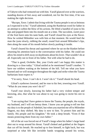of Tahyrst who had ventured out with him. Yarulf glanced over at the warriors, standing dozens of feet away and wondered, not for the first time, if he was making the right decision.

"*Rucopa*, *Yawe*. I admit that living with the Tauma people is not as heinous as I expected it to be," Yarulf admitted, using the Rarderian word for father in an attempt to soften the blow of his actions. He lifted a handful of *iyuta* to his lips and popped them into his mouth one at a time. The succulent, sweet juice of the fruit burst onto his taste buds, and Yarulf closed his eyes at the flavor. How he wished Milenther was with him at that moment. He would feed the man the *iyuta* slowly, rubbing the small, round fruit around Milenther's lips, then along the seam of his mouth before slowly pushing it inside.

Yarulf cleared his throat and squirmed where he sat on the blanket before returning his attention back to the conversation with his father. He could not allow his mind to drift away on daydreams about his lover. That wouldn't do at all. Especially not in front of his father. Not with what he had to do.

"That is good, *Orebebo*. But, your *Uvela* and I are happy this matter is drawing to a close today." Gilrad smiled as he mentioned Yarulf's mother. "I have our soldiers waiting at the bottom of the hill. Tell me what you have learned and we will strategize throughout the night and strike when the Tauma barbarians least expect it."

"I'm sorry, *Yawe*. I can't do it. I won't do it." Yarulf shook his head.

Gilrad's eyebrows lowered, and he rose to his feet, towering over Yarulf. "What do you mean you *won't* do it?"

Yarulf rose slowly, knowing his father had a very violent temper and knowing, also, that what he was about to say was going to incite his sire to react.

"I am saying that I have gotten to know the Tauma, the people, the royals, my husband, and I will not betray them. I know you are going to tell me that my duty is to the people of Adethiel, but when you married me off to Milenther Dagorn, my duty shifted. My duty is now to him. To protect him and his family. His people and his kingdom." He took a deep breath. "Even if that means protecting them from my own father."

All of the air was forced out of Yarulf's lungs when his father's large hand shot out to wrap around his throat. Yarulf choked and grabbed at the fingers that cut off his breath. He reached up to free himself, to fight back, but was surprised at what felt like invisible bands wrapping around his wrists,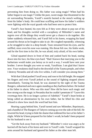preventing him from doing so. His father was using magic? When had his father begun to use magic? Unlike the pure, sweet magic that thrummed in the air surrounding Nerandra, Yarulf's nostrils burned at the stench wafting up from his father's body. He could hear scuffling and knew his father's soldiers were fighting with the royal guards who had been sent to protect him.

Yarulf's face heated, his eyes felt as if they were about to pop out of his head, and his thoughts swirled with a cacophony of Milenther's name and regrets over all the things they would never get a chance to do together. His father suddenly released him, and Yarulf fell to his knees, wrapping his hand around his throat as he fought to take in air. He coughed repeatedly, wheezing as he struggled to take in a deep breath. Tears streamed from his eyes, and he sniffled, since even his nose was running. His throat felt raw, his limbs weak, and for the first time in his life, he was afraid, truly afraid, of his own father.

Gilrad squatted down in front of him and yanked back his head, staring down into his face, his blue eyes hard. "Had I known that marrying you to the barbarians would make you betray us in such a way, I would have sent your brother. I never thought you were so weak, Yarulfsian. I am glad that I know now. Your weakness shall lead to the downfall of the Tauma people, and when I destroy Nerandra and all who live within, I will consider you among them."

With that Gilrad pushed Yarulf away and rose to his full height. He snapped his fingers and even Yarulf jerked as the sound of fighting stopped almost immediately. Turning his head, he was alarmed by the sight of the Tauma Rangers, unharmed and once again standing as they had been before. He looked at his father in alarm. Who *was* this man? How did he have such magic and how strong was the magic in Nerandra that he couldn't penetrate it? "Leave this *rovemugu* here. He is no longer a prince of Adethiel." Yarulf's heart broke at being called an abomination by his own father, but he lifted his chin and refused to show how much the word had hurt him.

Hearing a gasp behind him, Yarulf turned and saw Milenther, Reprimuric, and a handful of The Rangers of Tahyrst coming up over the side of the hill. He lowered his head, trying to hide the shame that reddened his face at his father's slight. While he'd been prepared for his father's wrath, he hadn't been prepared for his husband to see it.

"Get the fuck away from my husband." Milenther's voice was angry as he hurried off the back of his horse and over to Yarulf's side. Yarulf wrapped his arms around his husband and ignored his father as the other man left.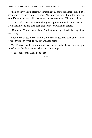"I am so sorry. I could feel that something was about to happen, but I didn't know where you were to get to you," Milenther murmured into the fabric of Yarulf's tunic. Yarulf pulled away and looked down into Milenther's face.

"You could sense that something was going on with me?" He was astonished, no one had ever been that connected with him before.

"Of course. You're my husband." Milenther shrugged as if that explained everything.

Reprimuric patted Yarulf on the shoulder and gestured back at Nerandra. "Well, *Thykuwu*? What do you say we head home?"

Yarulf looked at Reprimuric and back at Milenther before a wide grin spread across his face. Home. That had a nice ring to it.

"Yes. That sounds like a good idea."

\*\*\*\*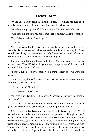# **Chapter Twelve**

"Wake up," a voice sang in Milenther's ear. He blinked his eyes open, blearily looking up into the gorgeous blue eyes of his husband.

"Good morning, my beautiful Tauma prince," Yarulf said with a grin.

"Good morning to you, my handsome Rarder prince," Milenther replied.

Yarulf shook his head. "No longer."

"Always."

Yarulf sighed and rolled his eyes, an action that shocked Milenther. It was so unlike his very conservative husband and so similar to something that Grote would have done, that Milenther instantly knew that his husband and his brother had been spending *way* too much time together.

Looking towards the window of the bedroom, Milenther noticed the sun had not yet risen. "Yarulf? Why did you wake me up so early? It's still dark outside," Milenther pointed out.

"I know, but I do believe I made you a promise right after we were first married."

Milenther's eyebrows lowered as he tried to remember every promise Yarulf had ever made to him.

"To cherish me?" he asked.

Yarulf shook his head. "No."

Milenther huffed and crossed his arms. "Does that mean you're *not* going to cherish me?"

Yarulf poked his nose and climbed off the bed, holding his hand out. "I am going to cherish you. It just means that's not the promise I meant."

Milenther nodded and continued to think. He pulled on the green kilt Yarulf handed him and pulled on the white tunic to go over it. Though it wasn't officially *temefu* yet, the weather was definitely starting to turn colder and the leaves on the trees, plants, and flowers were turning colors, going from their usual brilliant greens, oranges, golds, and whites to purples, blues, and reds. Though most Tauma hated the colder seasons, like *temefu* and *rumalezi*, Milenther loved them. Especially now that he was married to Yarulf. He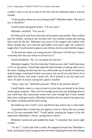couldn't wait to curl up in front of the fire with his husband while it snowed outside.

"Is the promise about you not snoring in bed?" Milenther asked. "Because if not, it should be."

Yarulf turned and glared at him. "I do not snore."

Milenther chuckled. "Yes you do."

He followed Yarulf down the stairs of the palace and outside. They walked past the stables, waving to the servants who were already awake and starting their work for the day. Milenther was aware of the rangers who walked with them, though they were discreet and hidden from plain sight. He wanted to laugh when Yarulf turned to glare at one of them, but he wisely held his tongue.

"Is the promise about you trying *mucetni?* Because I will tell you, Cook is extremely hurt that you refuse to at least try it."

Yarulf shuddered. "No. It's not about the *mucetni*."

Milenther laughed. The first time they'd had *mucetni* after Yarulf had come to live in the palace, Yarulf had made the fatal mistake of asking what was in the meal. Finding out that *mucetni* was a dish made up of chunks of numerous animal tongue, marinated in their own juices and served over the leaves of an *ifubo hire* flower, had made Yarulf sick. He'd refused to eat the meal ever since. In spite of always saying how good it smelled.

"Okay, I give up," Milenther groaned. "What is the promise about?"

Yarulf finally came to a stop in front of a tree that was buried in the forest on the palace property. They were far enough away from any buildings that no one could hear their passionate moans but close enough that if they needed help, they could get it easily. Milenther looked at the tree and his face grew hot, his palms sweating and his heart racing.

He looked up into Yarulf's eyes and felt his lips stretch into a wide smile.

"I promised that I would take you against a tree in a forest like you wanted me to. Do you remember this?" Yarulf asked, running the fingers of his left hand down Milenther's cheek, causing him to shiver.

Milenther swallowed and nodded his head. "I remember that entire night vividly."

"As do I," Yarulf said with a smile. He stepped forward into Milenther's body, pressing his back up against the tree before dipping his head and rubbing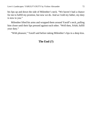his lips up and down the side of Milenther's neck. "We haven't had a chance for me to fulfill my promise, but now we do. And as I told my father, my duty is now to you."

Milenther lifted his arms and wrapped them around Yarulf's neck, pulling him closer until their lips pressed against each other. "Well then, *Yeluh*, fulfill your duty."

"With pleasure," Yarulf said before taking Milenther's lips in a deep kiss.

# **The End (?)**